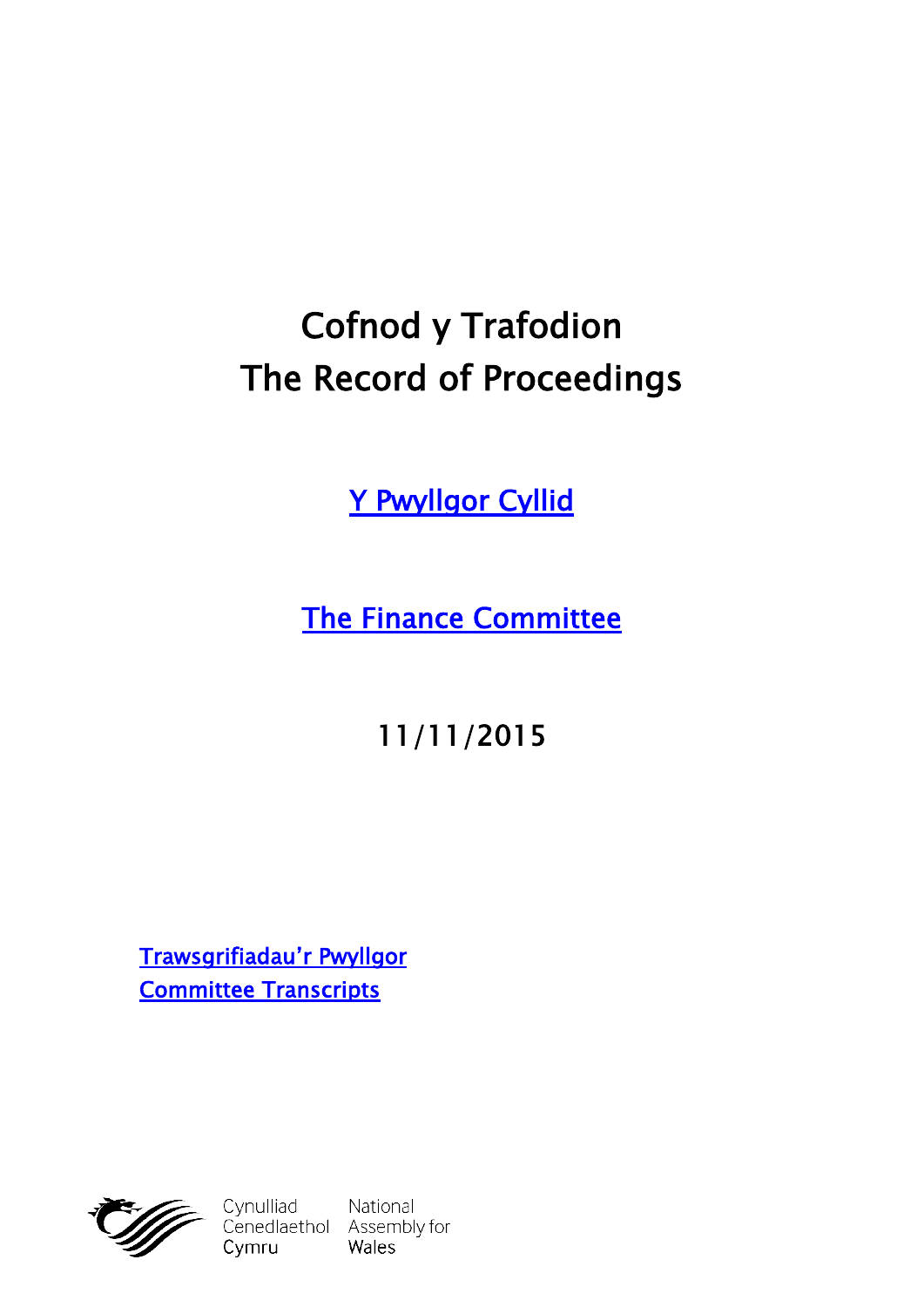# **Cofnod y Trafodion The Record of Proceedings**

**[Y Pwyllgor Cyllid](http://cynulliad.cymru/SeneddCyllid)**

**[The Finance Committee](http://assembly.wales/SeneddFinance)**

**11/11/2015**

**[Trawsgrifiadau'r Pwyllgor](http://www.senedd.cynulliad.cymru/mgIssueHistoryHome.aspx?IId=1243) [Committee Transcripts](http://www.senedd.assembly.wales/mgIssueHistoryHome.aspx?IId=1243)**



Cymru

Cynulliad National<br>Cenedlaethol Assembly for Wales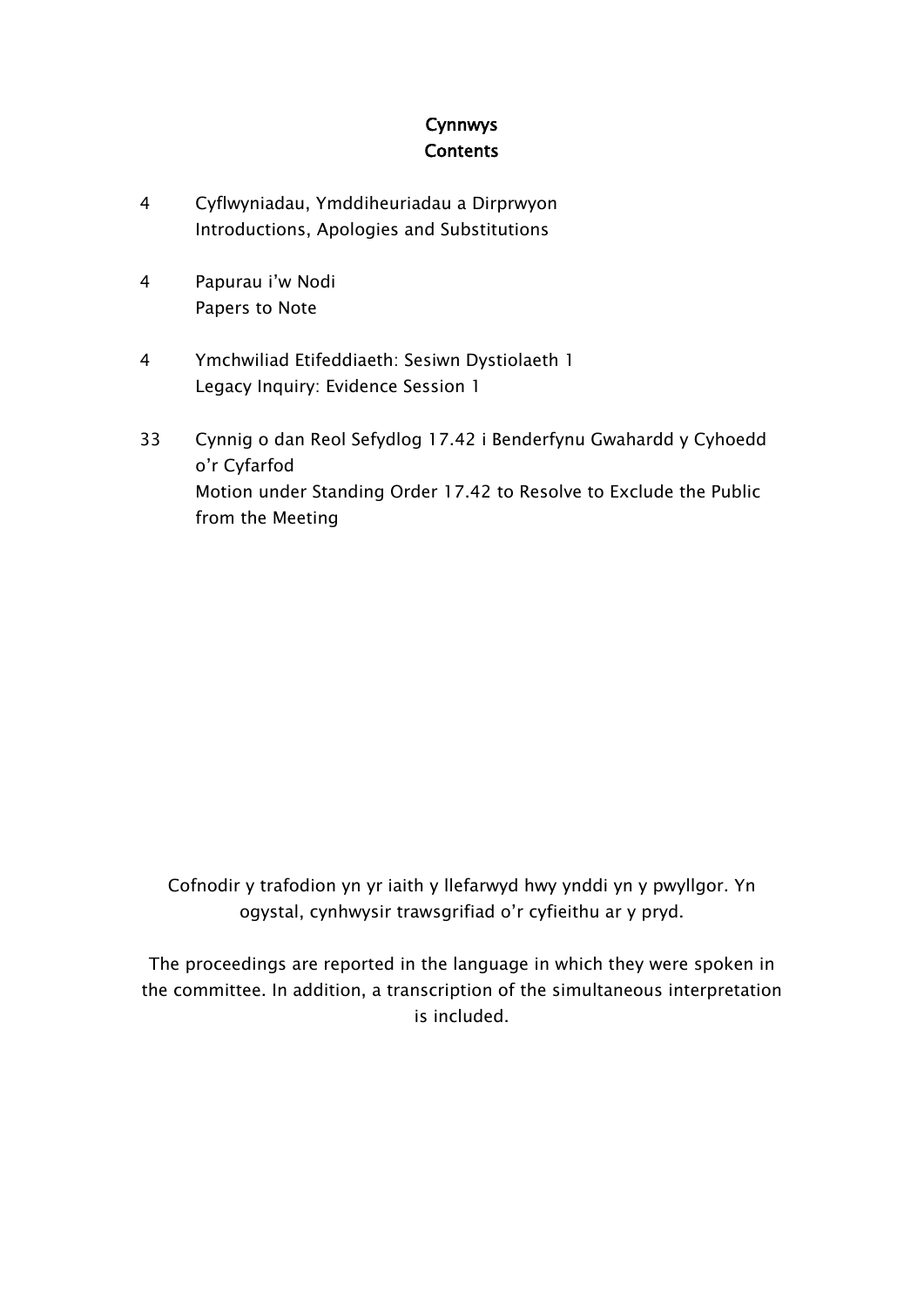#### **Cynnwys Contents**

- [4](#page-3-0) Cyflwyniadau, [Ymddiheuriadau](#page-3-0) a Dirprwyon [Introductions,](#page-3-0) Apologies and Substitutions
- [4](#page-3-1) [Papurau](#page-3-1) i'w Nodi [Papers](#page-3-1) to Note
- [4](#page-3-2) Ymchwiliad [Etifeddiaeth:](#page-3-2) Sesiwn Dystiolaeth 1 Legacy Inquiry: [Evidence](#page-3-2) Session 1
- [33](#page-31-0) Cynnig o dan Reol Sefydlog 17.42 i [Benderfynu](#page-31-0) Gwahardd y Cyhoedd o'r [Cyfarfod](#page-31-0) Motion under [Standing](#page-31-0) Order 17.42 to Resolve to Exclude the Public from the [Meeting](#page-31-0)

Cofnodir y trafodion yn yr iaith y llefarwyd hwy ynddi yn y pwyllgor. Yn ogystal, cynhwysir trawsgrifiad o'r cyfieithu ar y pryd.

The proceedings are reported in the language in which they were spoken in the committee. In addition, a transcription of the simultaneous interpretation is included.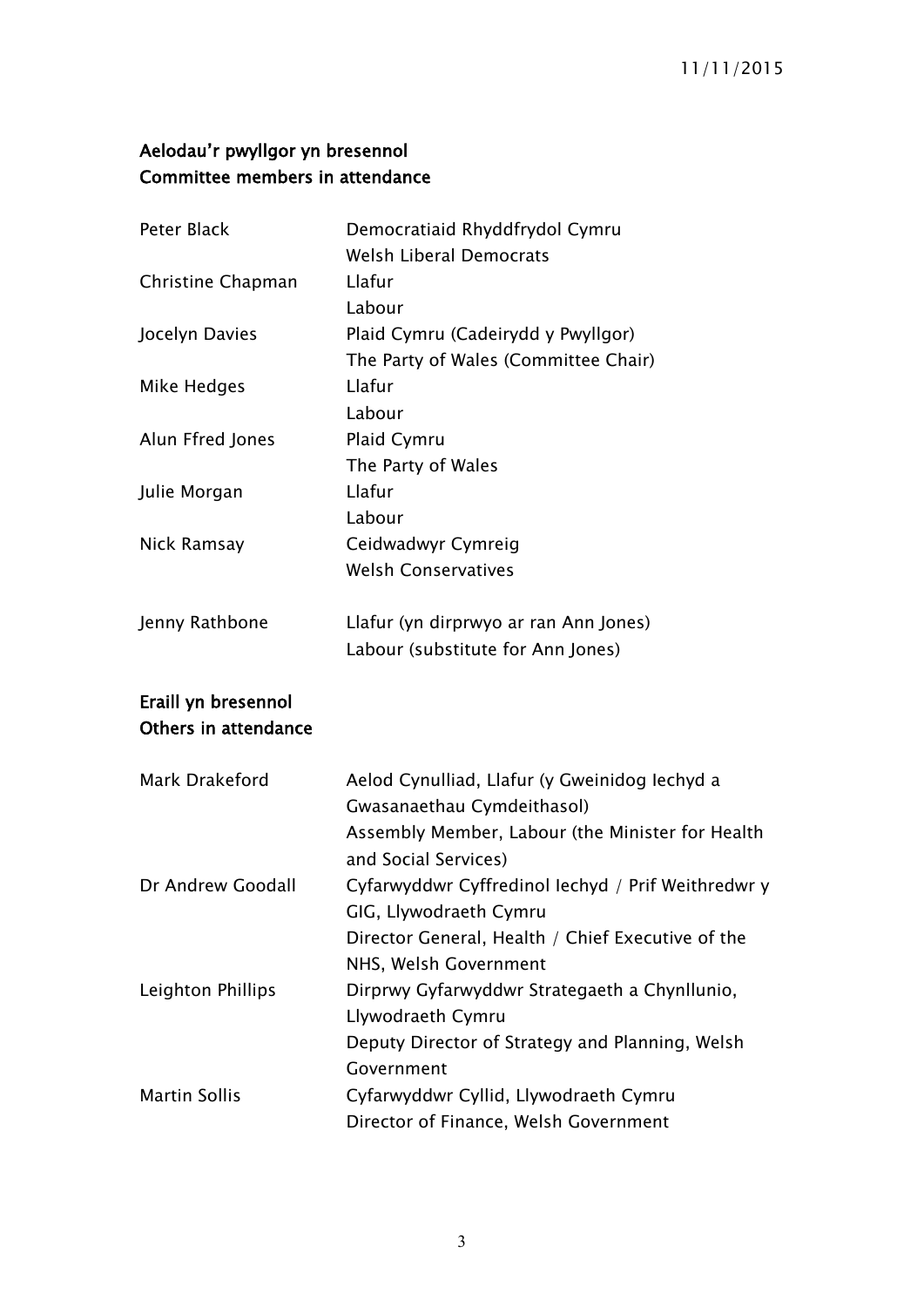# **Aelodau'r pwyllgor yn bresennol Committee members in attendance**

| Peter Black          | Democratiaid Rhyddfrydol Cymru                                           |
|----------------------|--------------------------------------------------------------------------|
|                      | <b>Welsh Liberal Democrats</b>                                           |
| Christine Chapman    | Llafur                                                                   |
|                      | Labour                                                                   |
| Jocelyn Davies       | Plaid Cymru (Cadeirydd y Pwyllgor)                                       |
|                      | The Party of Wales (Committee Chair)                                     |
| Mike Hedges          | Llafur                                                                   |
|                      | Labour                                                                   |
| Alun Ffred Jones     | Plaid Cymru                                                              |
|                      | The Party of Wales                                                       |
| Julie Morgan         | Llafur                                                                   |
|                      | Labour                                                                   |
| Nick Ramsay          | Ceidwadwyr Cymreig                                                       |
|                      | <b>Welsh Conservatives</b>                                               |
| Jenny Rathbone       | Llafur (yn dirprwyo ar ran Ann Jones)                                    |
|                      | Labour (substitute for Ann Jones)                                        |
| Eraill yn bresennol  |                                                                          |
| Others in attendance |                                                                          |
| Mark Drakeford       | Aelod Cynulliad, Llafur (y Gweinidog lechyd a                            |
|                      | Gwasanaethau Cymdeithasol)                                               |
|                      | Assembly Member, Labour (the Minister for Health<br>and Social Services) |
| Dr Andrew Goodall    | Cyfarwyddwr Cyffredinol Iechyd / Prif Weithredwr y                       |
|                      | GIG, Llywodraeth Cymru                                                   |
|                      | Director General, Health / Chief Executive of the                        |
|                      | NHS, Welsh Government                                                    |
| Leighton Phillips    | Dirprwy Gyfarwyddwr Strategaeth a Chynllunio,                            |
|                      | Llywodraeth Cymru                                                        |
|                      | Deputy Director of Strategy and Planning, Welsh                          |
|                      | Government                                                               |
| <b>Martin Sollis</b> | Cyfarwyddwr Cyllid, Llywodraeth Cymru                                    |
|                      | Director of Finance, Welsh Government                                    |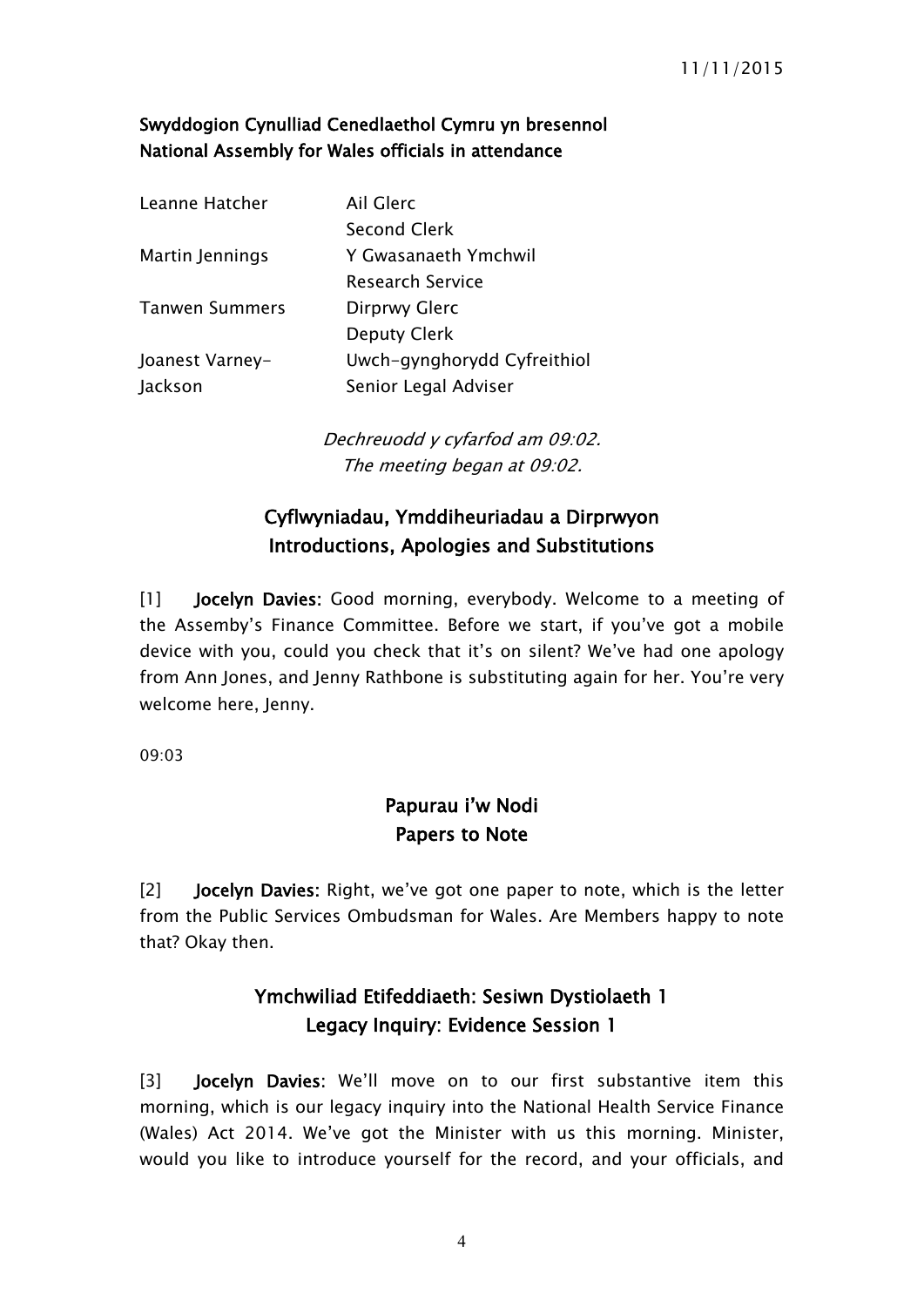#### **Swyddogion Cynulliad Cenedlaethol Cymru yn bresennol National Assembly for Wales officials in attendance**

| Leanne Hatcher        | Ail Glerc                   |
|-----------------------|-----------------------------|
|                       | <b>Second Clerk</b>         |
| Martin Jennings       | Y Gwasanaeth Ymchwil        |
|                       | <b>Research Service</b>     |
| <b>Tanwen Summers</b> | Dirprwy Glerc               |
|                       | Deputy Clerk                |
| Joanest Varney-       | Uwch-gynghorydd Cyfreithiol |
| Jackson               | Senior Legal Adviser        |
|                       |                             |

*Dechreuodd y cyfarfod am 09:02. The meeting began at 09:02.*

### <span id="page-3-0"></span>**Cyflwyniadau, Ymddiheuriadau a Dirprwyon Introductions, Apologies and Substitutions**

[1] **Jocelyn Davies:** Good morning, everybody. Welcome to a meeting of the Assemby's Finance Committee. Before we start, if you've got a mobile device with you, could you check that it's on silent? We've had one apology from Ann Jones, and Jenny Rathbone is substituting again for her. You're very welcome here, Jenny.

09:03

### <span id="page-3-1"></span>**Papurau i'w Nodi Papers to Note**

[2] **Jocelyn Davies:** Right, we've got one paper to note, which is the letter from the Public Services Ombudsman for Wales. Are Members happy to note that? Okay then.

# <span id="page-3-2"></span>**Ymchwiliad Etifeddiaeth: Sesiwn Dystiolaeth 1 Legacy Inquiry: Evidence Session 1**

[3] **Jocelyn Davies:** We'll move on to our first substantive item this morning, which is our legacy inquiry into the National Health Service Finance (Wales) Act 2014. We've got the Minister with us this morning. Minister, would you like to introduce yourself for the record, and your officials, and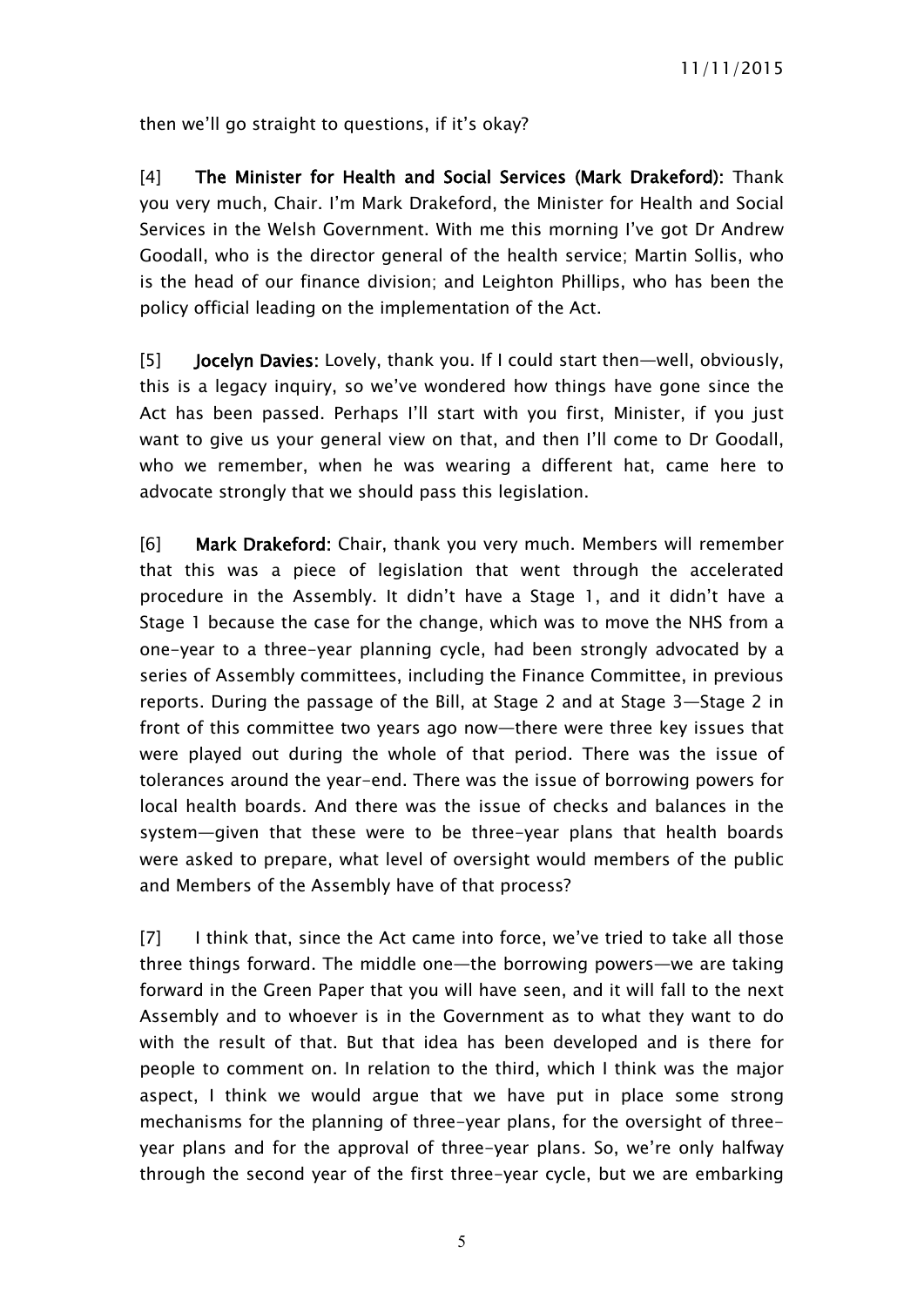then we'll go straight to questions, if it's okay?

[4] **The Minister for Health and Social Services (Mark Drakeford):** Thank you very much, Chair. I'm Mark Drakeford, the Minister for Health and Social Services in the Welsh Government. With me this morning I've got Dr Andrew Goodall, who is the director general of the health service; Martin Sollis, who is the head of our finance division; and Leighton Phillips, who has been the policy official leading on the implementation of the Act.

[5] **Jocelyn Davies:** Lovely, thank you. If I could start then—well, obviously, this is a legacy inquiry, so we've wondered how things have gone since the Act has been passed. Perhaps I'll start with you first, Minister, if you just want to give us your general view on that, and then I'll come to Dr Goodall, who we remember, when he was wearing a different hat, came here to advocate strongly that we should pass this legislation.

[6] **Mark Drakeford:** Chair, thank you very much. Members will remember that this was a piece of legislation that went through the accelerated procedure in the Assembly. It didn't have a Stage 1, and it didn't have a Stage 1 because the case for the change, which was to move the NHS from a one-year to a three-year planning cycle, had been strongly advocated by a series of Assembly committees, including the Finance Committee, in previous reports. During the passage of the Bill, at Stage 2 and at Stage 3—Stage 2 in front of this committee two years ago now—there were three key issues that were played out during the whole of that period. There was the issue of tolerances around the year-end. There was the issue of borrowing powers for local health boards. And there was the issue of checks and balances in the system—given that these were to be three-year plans that health boards were asked to prepare, what level of oversight would members of the public and Members of the Assembly have of that process?

[7] I think that, since the Act came into force, we've tried to take all those three things forward. The middle one—the borrowing powers—we are taking forward in the Green Paper that you will have seen, and it will fall to the next Assembly and to whoever is in the Government as to what they want to do with the result of that. But that idea has been developed and is there for people to comment on. In relation to the third, which I think was the major aspect, I think we would argue that we have put in place some strong mechanisms for the planning of three-year plans, for the oversight of threeyear plans and for the approval of three-year plans. So, we're only halfway through the second year of the first three-year cycle, but we are embarking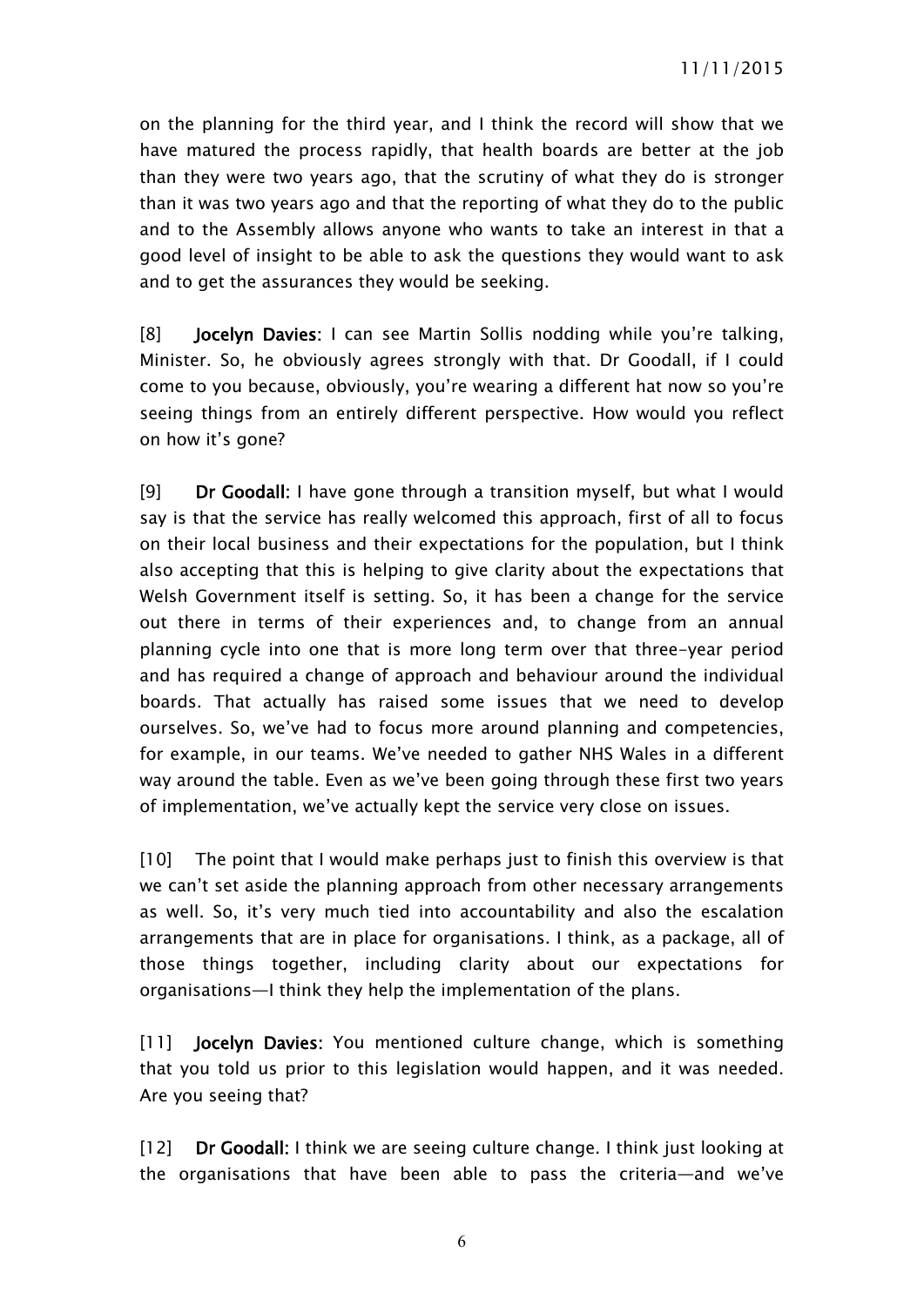on the planning for the third year, and I think the record will show that we have matured the process rapidly, that health boards are better at the job than they were two years ago, that the scrutiny of what they do is stronger than it was two years ago and that the reporting of what they do to the public and to the Assembly allows anyone who wants to take an interest in that a good level of insight to be able to ask the questions they would want to ask and to get the assurances they would be seeking.

[8] **Jocelyn Davies:** I can see Martin Sollis nodding while you're talking, Minister. So, he obviously agrees strongly with that. Dr Goodall, if I could come to you because, obviously, you're wearing a different hat now so you're seeing things from an entirely different perspective. How would you reflect on how it's gone?

[9] **Dr Goodall:** I have gone through a transition myself, but what I would say is that the service has really welcomed this approach, first of all to focus on their local business and their expectations for the population, but I think also accepting that this is helping to give clarity about the expectations that Welsh Government itself is setting. So, it has been a change for the service out there in terms of their experiences and, to change from an annual planning cycle into one that is more long term over that three-year period and has required a change of approach and behaviour around the individual boards. That actually has raised some issues that we need to develop ourselves. So, we've had to focus more around planning and competencies, for example, in our teams. We've needed to gather NHS Wales in a different way around the table. Even as we've been going through these first two years of implementation, we've actually kept the service very close on issues.

[10] The point that I would make perhaps just to finish this overview is that we can't set aside the planning approach from other necessary arrangements as well. So, it's very much tied into accountability and also the escalation arrangements that are in place for organisations. I think, as a package, all of those things together, including clarity about our expectations for organisations—I think they help the implementation of the plans.

[11] **Jocelyn Davies:** You mentioned culture change, which is something that you told us prior to this legislation would happen, and it was needed. Are you seeing that?

[12] **Dr Goodall:** I think we are seeing culture change. I think just looking at the organisations that have been able to pass the criteria—and we've

6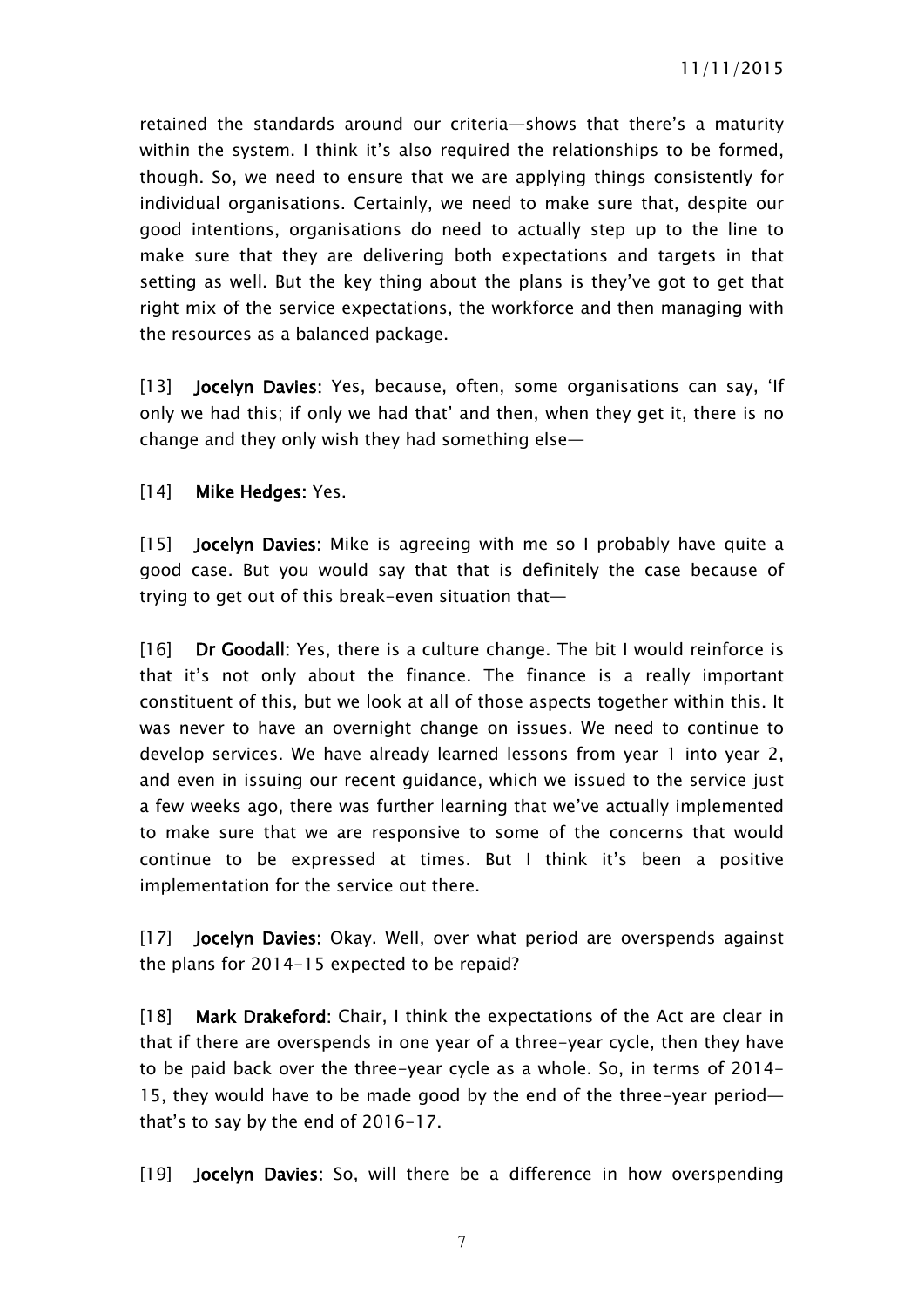retained the standards around our criteria—shows that there's a maturity within the system. I think it's also required the relationships to be formed, though. So, we need to ensure that we are applying things consistently for individual organisations. Certainly, we need to make sure that, despite our good intentions, organisations do need to actually step up to the line to make sure that they are delivering both expectations and targets in that setting as well. But the key thing about the plans is they've got to get that right mix of the service expectations, the workforce and then managing with the resources as a balanced package.

[13] **Jocelyn Davies:** Yes, because, often, some organisations can say, 'If only we had this; if only we had that' and then, when they get it, there is no change and they only wish they had something else—

#### [14] **Mike Hedges:** Yes.

[15] **Jocelyn Davies:** Mike is agreeing with me so I probably have quite a good case. But you would say that that is definitely the case because of trying to get out of this break-even situation that—

[16] **Dr Goodall:** Yes, there is a culture change. The bit I would reinforce is that it's not only about the finance. The finance is a really important constituent of this, but we look at all of those aspects together within this. It was never to have an overnight change on issues. We need to continue to develop services. We have already learned lessons from year 1 into year 2, and even in issuing our recent guidance, which we issued to the service just a few weeks ago, there was further learning that we've actually implemented to make sure that we are responsive to some of the concerns that would continue to be expressed at times. But I think it's been a positive implementation for the service out there.

[17] **Jocelyn Davies:** Okay. Well, over what period are overspends against the plans for 2014-15 expected to be repaid?

[18] **Mark Drakeford:** Chair, I think the expectations of the Act are clear in that if there are overspends in one year of a three-year cycle, then they have to be paid back over the three-year cycle as a whole. So, in terms of 2014- 15, they would have to be made good by the end of the three-year period that's to say by the end of 2016-17.

[19] **Jocelyn Davies:** So, will there be a difference in how overspending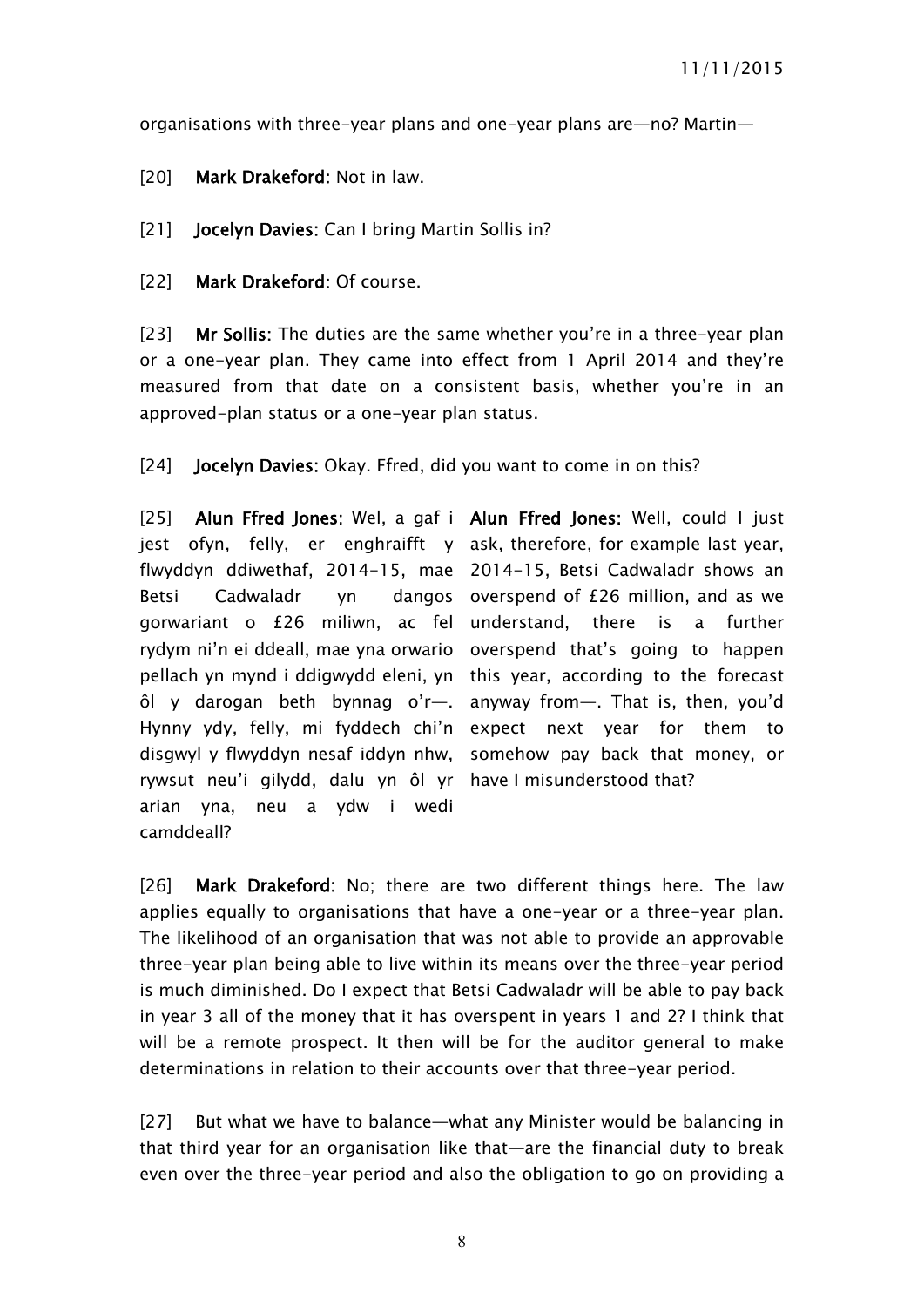organisations with three-year plans and one-year plans are—no? Martin—

[20] **Mark Drakeford:** Not in law.

[21] **Jocelyn Davies:** Can I bring Martin Sollis in?

[22] **Mark Drakeford:** Of course.

[23] **Mr Sollis:** The duties are the same whether you're in a three-year plan or a one-year plan. They came into effect from 1 April 2014 and they're measured from that date on a consistent basis, whether you're in an approved-plan status or a one-year plan status.

[24] **Jocelyn Davies:** Okay. Ffred, did you want to come in on this?

[25] **Alun Ffred Jones:** Wel, a gaf i **Alun Ffred Jones:** Well, could I just jest ofyn, felly, er enghraifft y ask, therefore, for example last year, flwyddyn ddiwethaf, 2014-15, mae 2014-15, Betsi Cadwaladr shows an Betsi Cadwaladr yn gorwariant o £26 miliwn, ac fel understand, there is a further rydym ni'n ei ddeall, mae yna orwario overspend that's going to happen pellach yn mynd i ddigwydd eleni, yn this year, according to the forecast ôl y darogan beth bynnag o'r—. anyway from—. That is, then, you'd Hynny ydy, felly, mi fyddech chi'n expect next year for them to disgwyl y flwyddyn nesaf iddyn nhw, somehow pay back that money, or rywsut neu'i gilydd, dalu yn ôl yr have I misunderstood that? arian yna, neu a ydw i wedi camddeall?

dangos overspend of  $E26$  million, and as we

[26] **Mark Drakeford:** No; there are two different things here. The law applies equally to organisations that have a one-year or a three-year plan. The likelihood of an organisation that was not able to provide an approvable three-year plan being able to live within its means over the three-year period is much diminished. Do I expect that Betsi Cadwaladr will be able to pay back in year 3 all of the money that it has overspent in years 1 and 2? I think that will be a remote prospect. It then will be for the auditor general to make determinations in relation to their accounts over that three-year period.

[27] But what we have to balance—what any Minister would be balancing in that third year for an organisation like that—are the financial duty to break even over the three-year period and also the obligation to go on providing a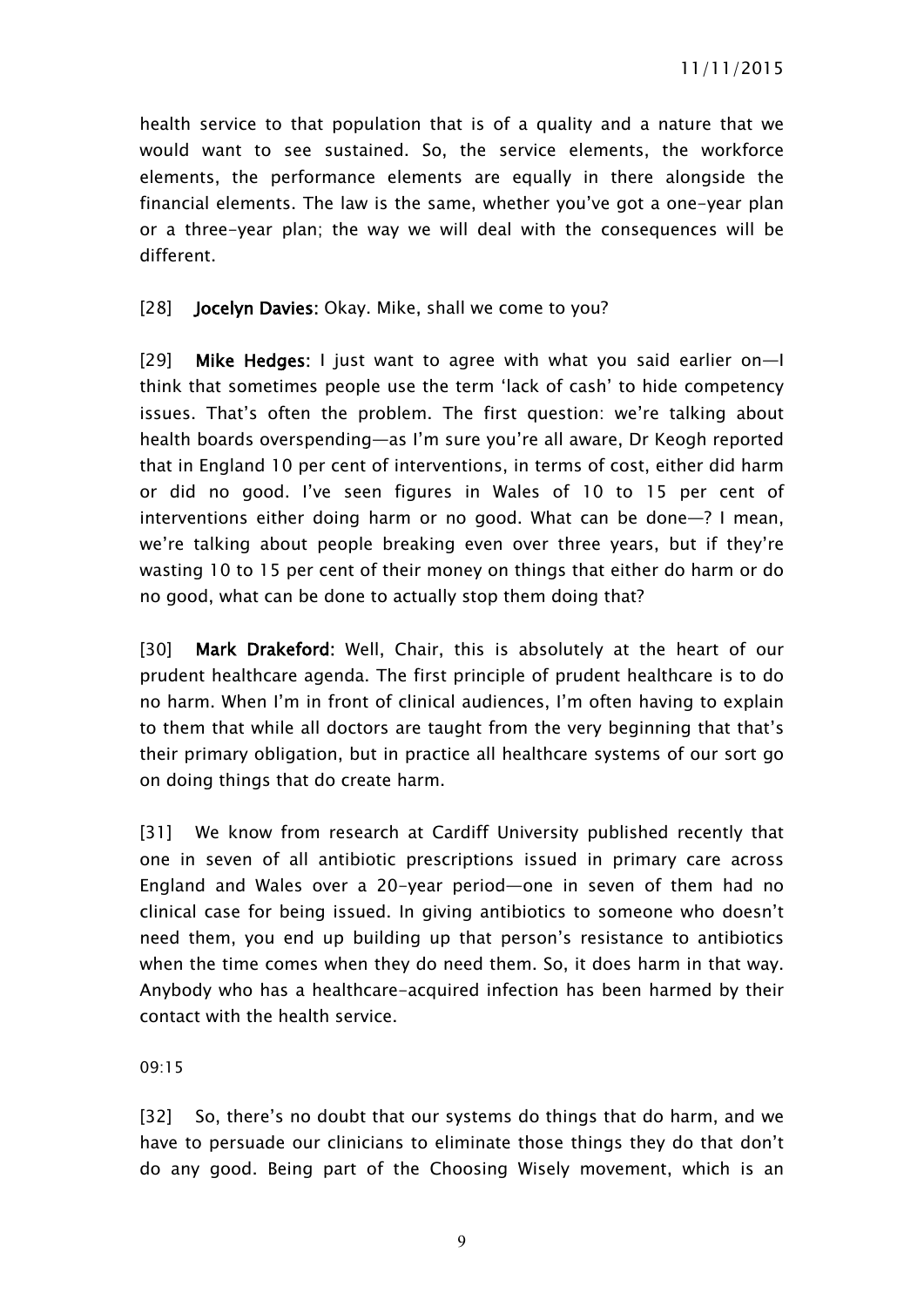health service to that population that is of a quality and a nature that we would want to see sustained. So, the service elements, the workforce elements, the performance elements are equally in there alongside the financial elements. The law is the same, whether you've got a one-year plan or a three-year plan; the way we will deal with the consequences will be different.

#### [28] **Jocelyn Davies:** Okay. Mike, shall we come to you?

[29] **Mike Hedges:** I just want to agree with what you said earlier on—I think that sometimes people use the term 'lack of cash' to hide competency issues. That's often the problem. The first question: we're talking about health boards overspending—as I'm sure you're all aware, Dr Keogh reported that in England 10 per cent of interventions, in terms of cost, either did harm or did no good. I've seen figures in Wales of 10 to 15 per cent of interventions either doing harm or no good. What can be done—? I mean, we're talking about people breaking even over three years, but if they're wasting 10 to 15 per cent of their money on things that either do harm or do no good, what can be done to actually stop them doing that?

[30] **Mark Drakeford:** Well, Chair, this is absolutely at the heart of our prudent healthcare agenda. The first principle of prudent healthcare is to do no harm. When I'm in front of clinical audiences, I'm often having to explain to them that while all doctors are taught from the very beginning that that's their primary obligation, but in practice all healthcare systems of our sort go on doing things that do create harm.

[31] We know from research at Cardiff University published recently that one in seven of all antibiotic prescriptions issued in primary care across England and Wales over a 20-year period—one in seven of them had no clinical case for being issued. In giving antibiotics to someone who doesn't need them, you end up building up that person's resistance to antibiotics when the time comes when they do need them. So, it does harm in that way. Anybody who has a healthcare-acquired infection has been harmed by their contact with the health service.

09:15

[32] So, there's no doubt that our systems do things that do harm, and we have to persuade our clinicians to eliminate those things they do that don't do any good. Being part of the Choosing Wisely movement, which is an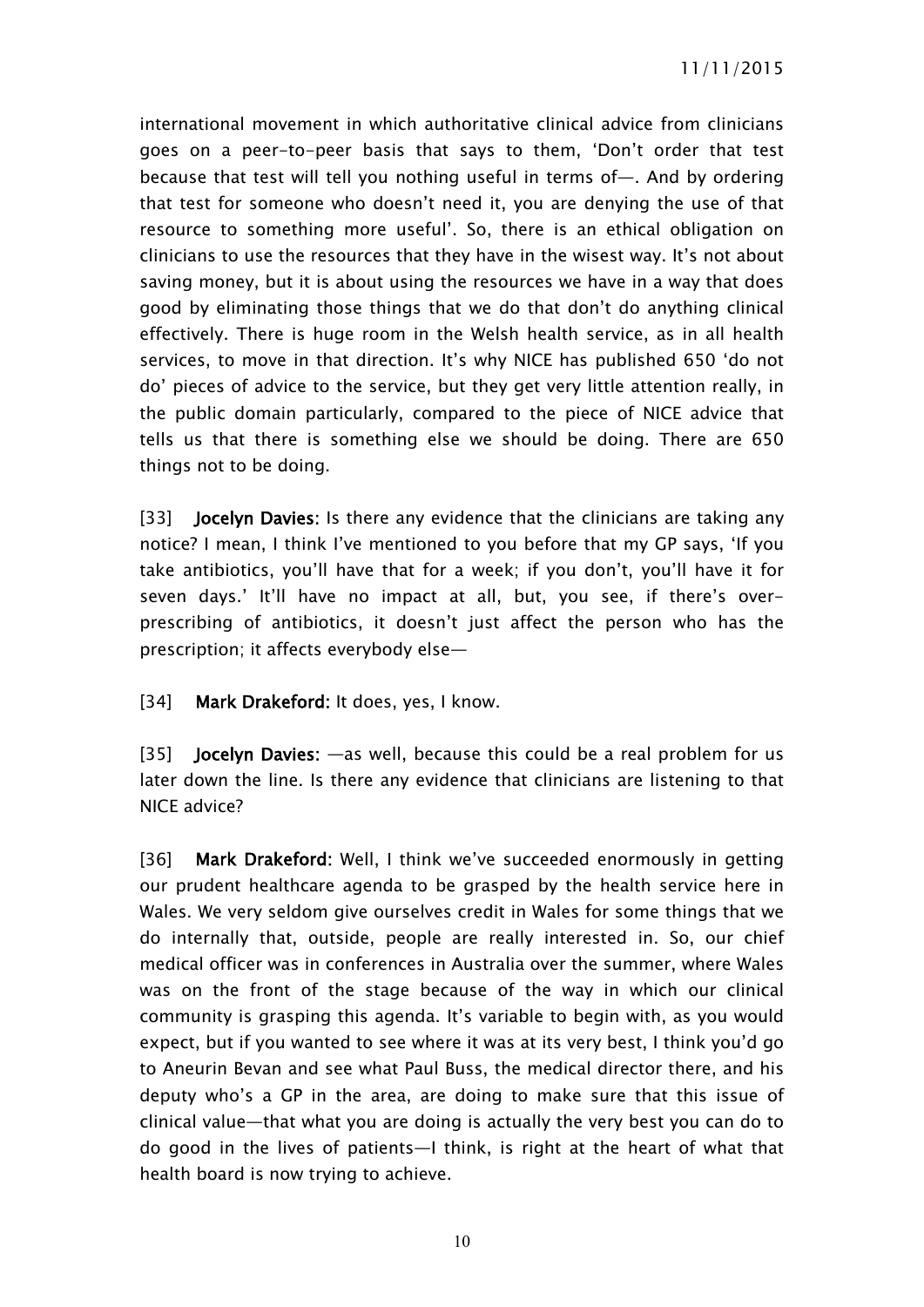international movement in which authoritative clinical advice from clinicians goes on a peer-to-peer basis that says to them, 'Don't order that test because that test will tell you nothing useful in terms of—. And by ordering that test for someone who doesn't need it, you are denying the use of that resource to something more useful'. So, there is an ethical obligation on clinicians to use the resources that they have in the wisest way. It's not about saving money, but it is about using the resources we have in a way that does good by eliminating those things that we do that don't do anything clinical effectively. There is huge room in the Welsh health service, as in all health services, to move in that direction. It's why NICE has published 650 'do not do' pieces of advice to the service, but they get very little attention really, in the public domain particularly, compared to the piece of NICE advice that tells us that there is something else we should be doing. There are 650 things not to be doing.

[33] **Jocelyn Davies:** Is there any evidence that the clinicians are taking any notice? I mean, I think I've mentioned to you before that my GP says, 'If you take antibiotics, you'll have that for a week; if you don't, you'll have it for seven days.' It'll have no impact at all, but, you see, if there's overprescribing of antibiotics, it doesn't just affect the person who has the prescription; it affects everybody else—

[34] **Mark Drakeford:** It does, yes, I know.

[35] **Jocelyn Davies:** —as well, because this could be a real problem for us later down the line. Is there any evidence that clinicians are listening to that NICE advice?

[36] **Mark Drakeford:** Well, I think we've succeeded enormously in getting our prudent healthcare agenda to be grasped by the health service here in Wales. We very seldom give ourselves credit in Wales for some things that we do internally that, outside, people are really interested in. So, our chief medical officer was in conferences in Australia over the summer, where Wales was on the front of the stage because of the way in which our clinical community is grasping this agenda. It's variable to begin with, as you would expect, but if you wanted to see where it was at its very best, I think you'd go to Aneurin Bevan and see what Paul Buss, the medical director there, and his deputy who's a GP in the area, are doing to make sure that this issue of clinical value—that what you are doing is actually the very best you can do to do good in the lives of patients—I think, is right at the heart of what that health board is now trying to achieve.

10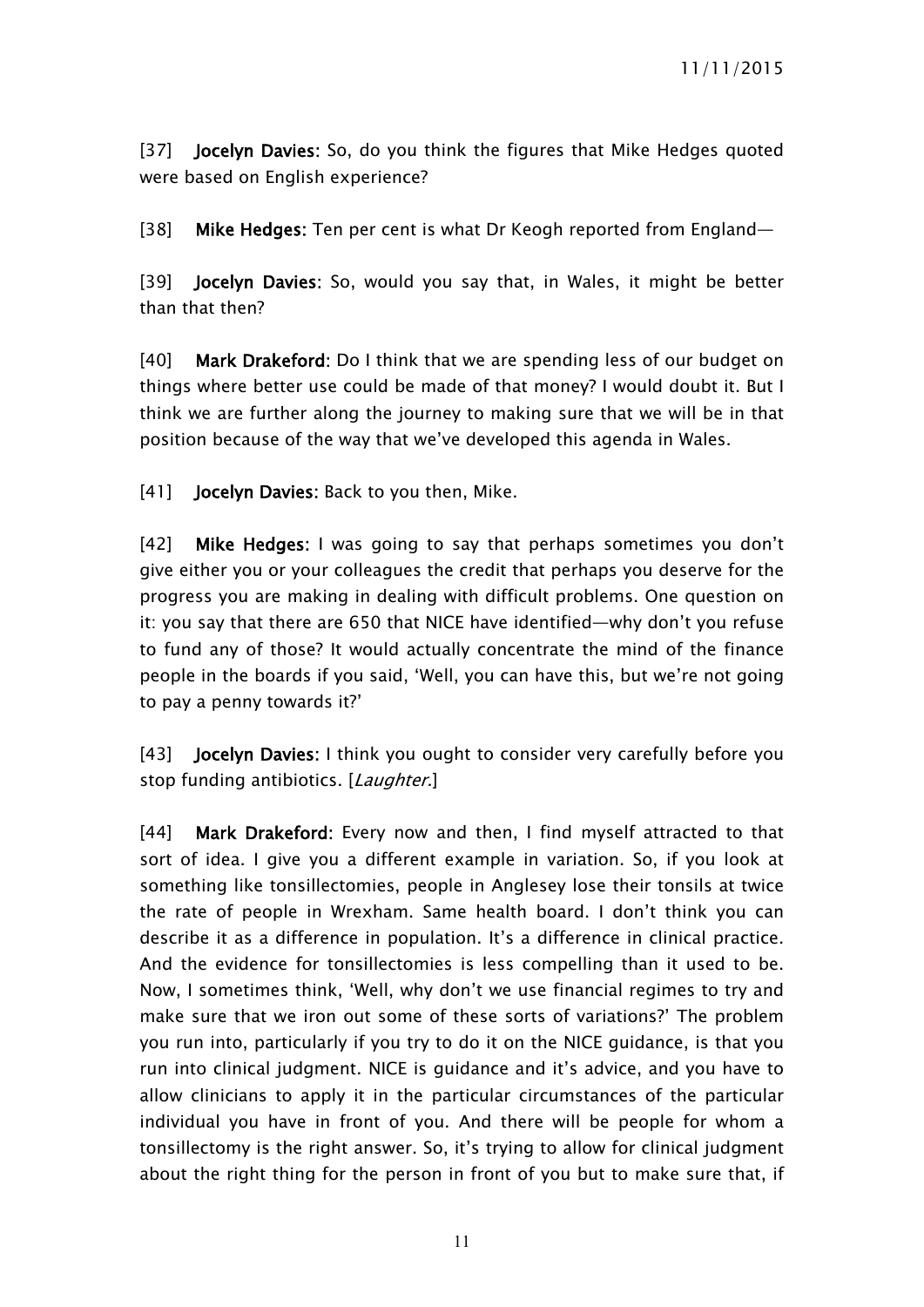[37] **Jocelyn Davies:** So, do you think the figures that Mike Hedges quoted were based on English experience?

[38] **Mike Hedges:** Ten per cent is what Dr Keogh reported from England—

[39] **Jocelyn Davies:** So, would you say that, in Wales, it might be better than that then?

[40] **Mark Drakeford:** Do I think that we are spending less of our budget on things where better use could be made of that money? I would doubt it. But I think we are further along the journey to making sure that we will be in that position because of the way that we've developed this agenda in Wales.

[41] **Jocelyn Davies:** Back to you then, Mike.

[42] **Mike Hedges:** I was going to say that perhaps sometimes you don't give either you or your colleagues the credit that perhaps you deserve for the progress you are making in dealing with difficult problems. One question on it: you say that there are 650 that NICE have identified—why don't you refuse to fund any of those? It would actually concentrate the mind of the finance people in the boards if you said, 'Well, you can have this, but we're not going to pay a penny towards it?'

[43] **Jocelyn Davies:** I think you ought to consider very carefully before you stop funding antibiotics. [*Laughter.*]

[44] **Mark Drakeford:** Every now and then, I find myself attracted to that sort of idea. I give you a different example in variation. So, if you look at something like tonsillectomies, people in Anglesey lose their tonsils at twice the rate of people in Wrexham. Same health board. I don't think you can describe it as a difference in population. It's a difference in clinical practice. And the evidence for tonsillectomies is less compelling than it used to be. Now, I sometimes think, 'Well, why don't we use financial regimes to try and make sure that we iron out some of these sorts of variations?' The problem you run into, particularly if you try to do it on the NICE guidance, is that you run into clinical judgment. NICE is guidance and it's advice, and you have to allow clinicians to apply it in the particular circumstances of the particular individual you have in front of you. And there will be people for whom a tonsillectomy is the right answer. So, it's trying to allow for clinical judgment about the right thing for the person in front of you but to make sure that, if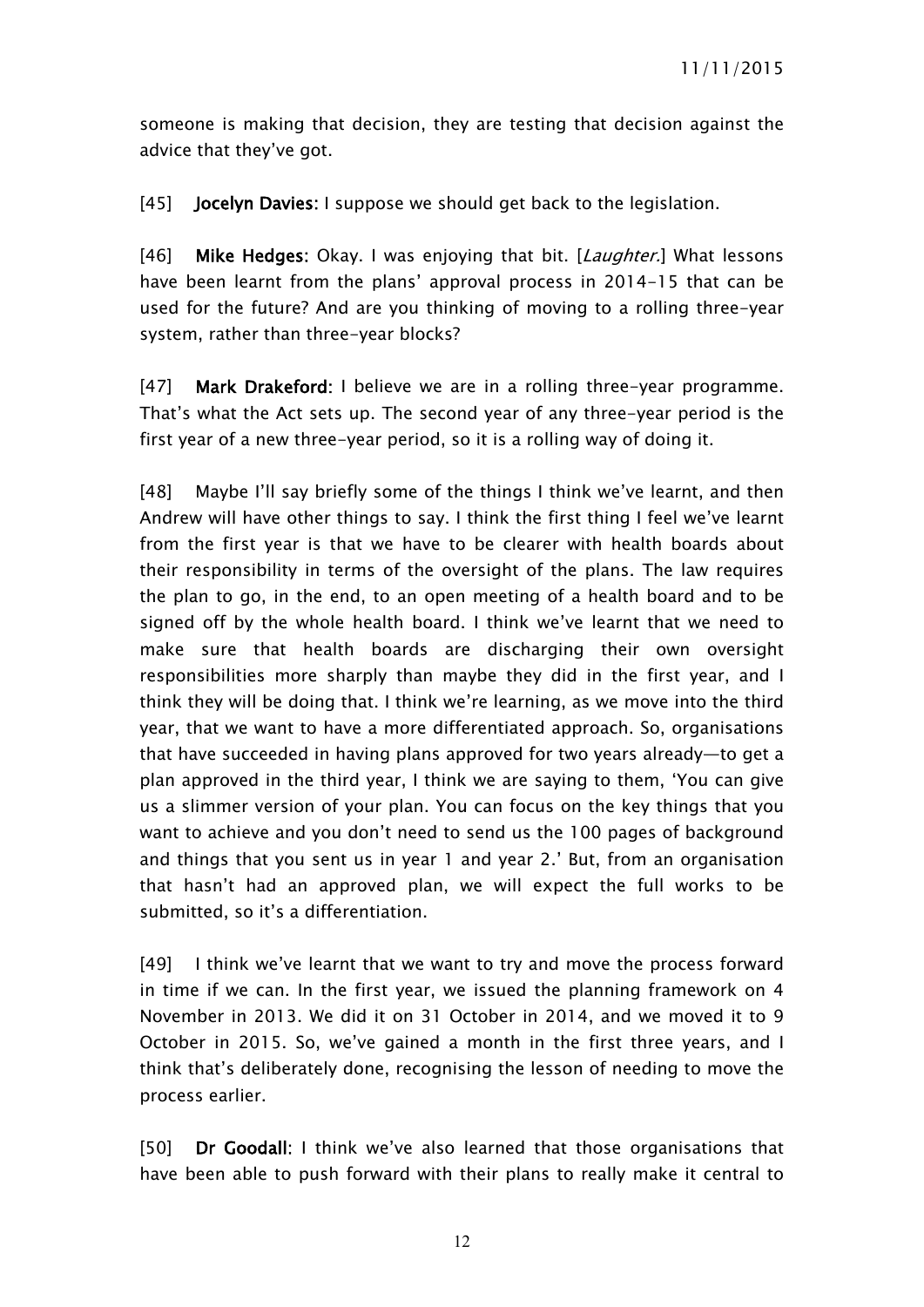someone is making that decision, they are testing that decision against the advice that they've got.

[45] **Jocelyn Davies:** I suppose we should get back to the legislation.

[46] **Mike Hedges:** Okay. I was enjoying that bit. [*Laughter.*] What lessons have been learnt from the plans' approval process in 2014-15 that can be used for the future? And are you thinking of moving to a rolling three-year system, rather than three-year blocks?

[47] **Mark Drakeford:** I believe we are in a rolling three-year programme. That's what the Act sets up. The second year of any three-year period is the first year of a new three-year period, so it is a rolling way of doing it.

[48] Maybe I'll say briefly some of the things I think we've learnt, and then Andrew will have other things to say. I think the first thing I feel we've learnt from the first year is that we have to be clearer with health boards about their responsibility in terms of the oversight of the plans. The law requires the plan to go, in the end, to an open meeting of a health board and to be signed off by the whole health board. I think we've learnt that we need to make sure that health boards are discharging their own oversight responsibilities more sharply than maybe they did in the first year, and I think they will be doing that. I think we're learning, as we move into the third year, that we want to have a more differentiated approach. So, organisations that have succeeded in having plans approved for two years already—to get a plan approved in the third year, I think we are saying to them, 'You can give us a slimmer version of your plan. You can focus on the key things that you want to achieve and you don't need to send us the 100 pages of background and things that you sent us in year 1 and year 2.' But, from an organisation that hasn't had an approved plan, we will expect the full works to be submitted, so it's a differentiation.

[49] I think we've learnt that we want to try and move the process forward in time if we can. In the first year, we issued the planning framework on 4 November in 2013. We did it on 31 October in 2014, and we moved it to 9 October in 2015. So, we've gained a month in the first three years, and I think that's deliberately done, recognising the lesson of needing to move the process earlier.

[50] **Dr Goodall:** I think we've also learned that those organisations that have been able to push forward with their plans to really make it central to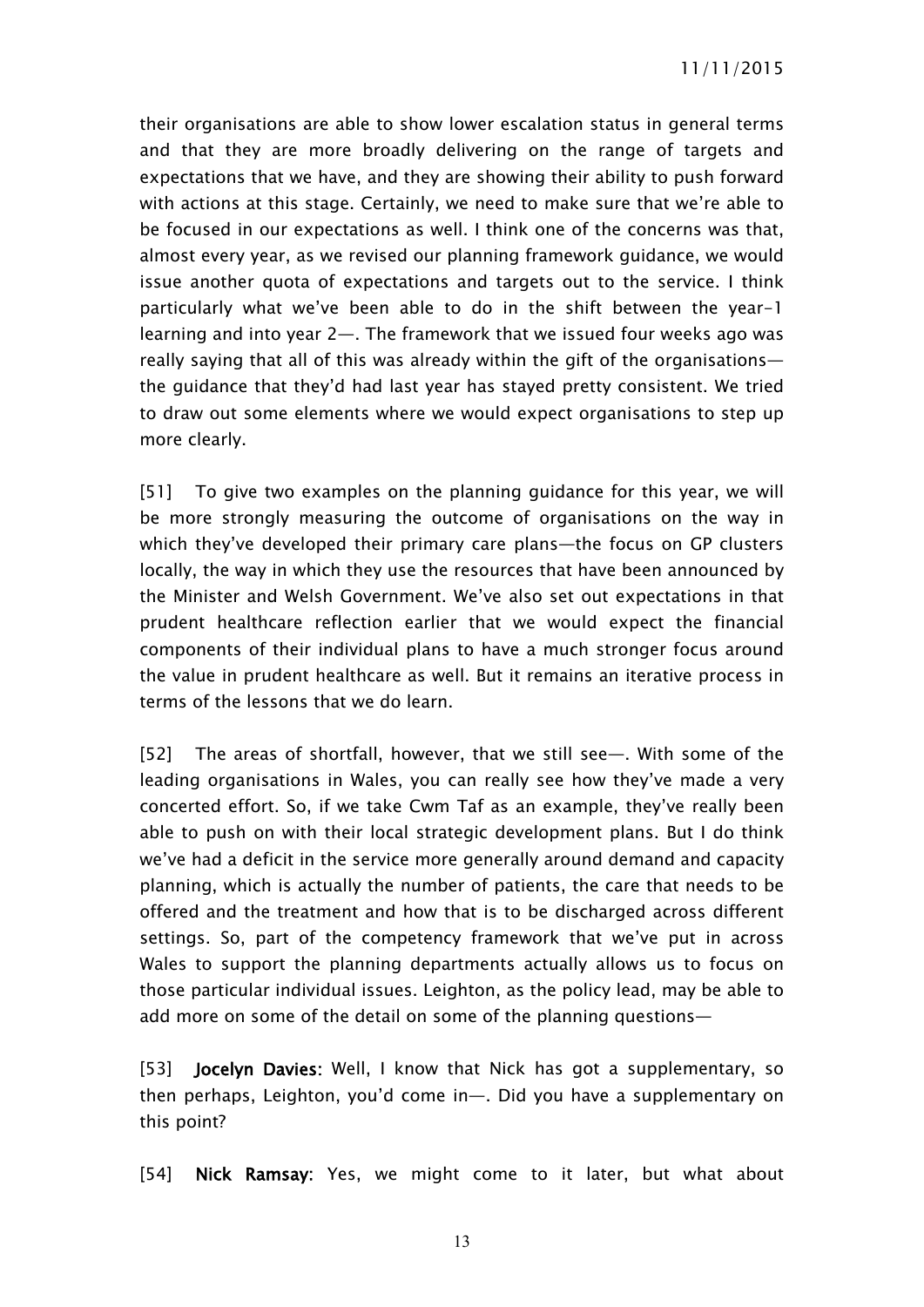their organisations are able to show lower escalation status in general terms and that they are more broadly delivering on the range of targets and expectations that we have, and they are showing their ability to push forward with actions at this stage. Certainly, we need to make sure that we're able to be focused in our expectations as well. I think one of the concerns was that, almost every year, as we revised our planning framework guidance, we would issue another quota of expectations and targets out to the service. I think particularly what we've been able to do in the shift between the year-1 learning and into year 2—. The framework that we issued four weeks ago was really saying that all of this was already within the gift of the organisations the guidance that they'd had last year has stayed pretty consistent. We tried to draw out some elements where we would expect organisations to step up more clearly.

[51] To give two examples on the planning guidance for this year, we will be more strongly measuring the outcome of organisations on the way in which they've developed their primary care plans—the focus on GP clusters locally, the way in which they use the resources that have been announced by the Minister and Welsh Government. We've also set out expectations in that prudent healthcare reflection earlier that we would expect the financial components of their individual plans to have a much stronger focus around the value in prudent healthcare as well. But it remains an iterative process in terms of the lessons that we do learn.

[52] The areas of shortfall, however, that we still see—. With some of the leading organisations in Wales, you can really see how they've made a very concerted effort. So, if we take Cwm Taf as an example, they've really been able to push on with their local strategic development plans. But I do think we've had a deficit in the service more generally around demand and capacity planning, which is actually the number of patients, the care that needs to be offered and the treatment and how that is to be discharged across different settings. So, part of the competency framework that we've put in across Wales to support the planning departments actually allows us to focus on those particular individual issues. Leighton, as the policy lead, may be able to add more on some of the detail on some of the planning questions—

[53] **Jocelyn Davies:** Well, I know that Nick has got a supplementary, so then perhaps, Leighton, you'd come in—. Did you have a supplementary on this point?

[54] **Nick Ramsay:** Yes, we might come to it later, but what about

13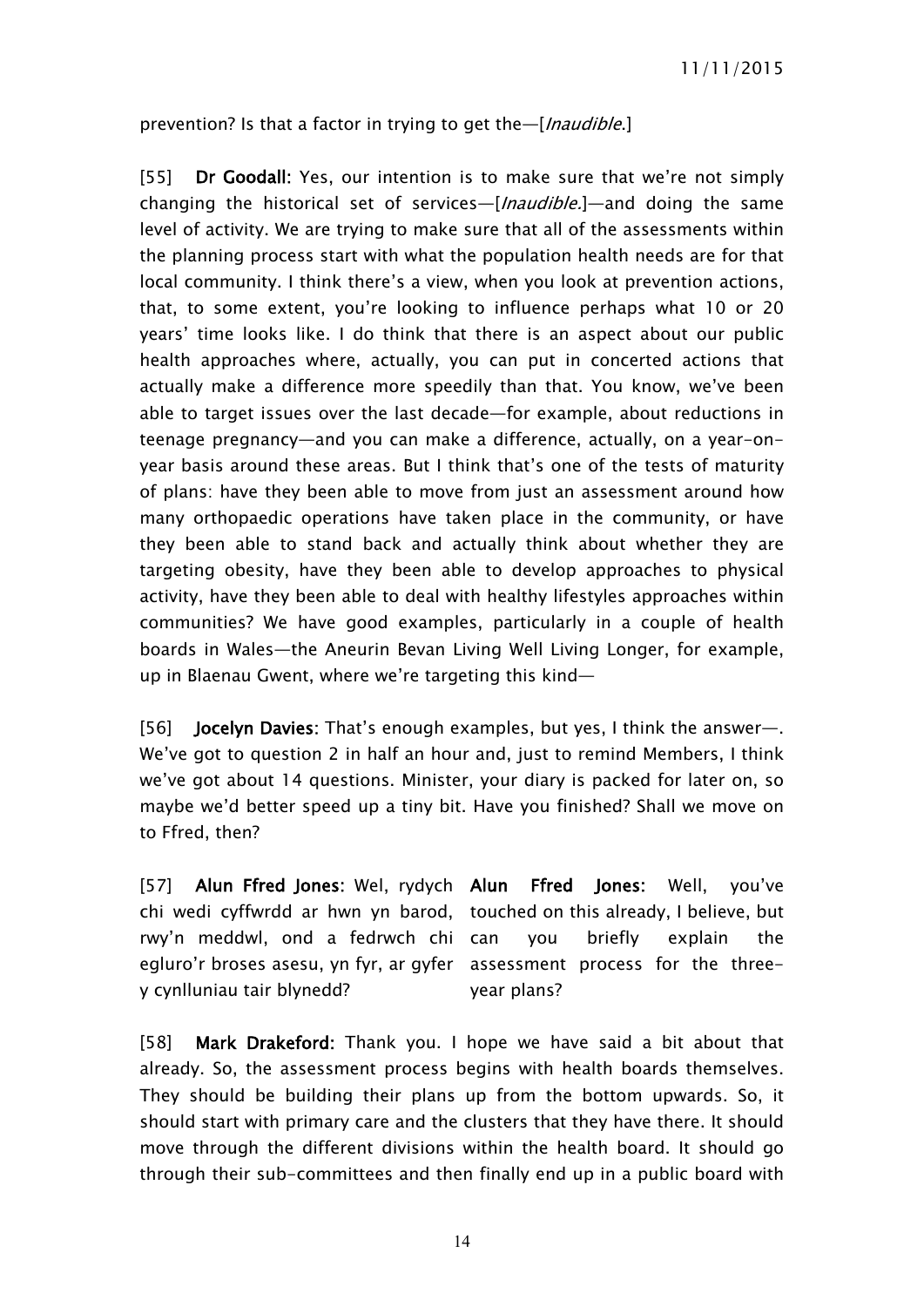prevention? Is that a factor in trying to get the—[*Inaudible*.]

[55] **Dr Goodall:** Yes, our intention is to make sure that we're not simply changing the historical set of services—[*Inaudible.*]—and doing the same level of activity. We are trying to make sure that all of the assessments within the planning process start with what the population health needs are for that local community. I think there's a view, when you look at prevention actions, that, to some extent, you're looking to influence perhaps what 10 or 20 years' time looks like. I do think that there is an aspect about our public health approaches where, actually, you can put in concerted actions that actually make a difference more speedily than that. You know, we've been able to target issues over the last decade—for example, about reductions in teenage pregnancy—and you can make a difference, actually, on a year-onyear basis around these areas. But I think that's one of the tests of maturity of plans: have they been able to move from just an assessment around how many orthopaedic operations have taken place in the community, or have they been able to stand back and actually think about whether they are targeting obesity, have they been able to develop approaches to physical activity, have they been able to deal with healthy lifestyles approaches within communities? We have good examples, particularly in a couple of health boards in Wales—the Aneurin Bevan Living Well Living Longer, for example, up in Blaenau Gwent, where we're targeting this kind—

[56] **Jocelyn Davies:** That's enough examples, but yes, I think the answer—. We've got to question 2 in half an hour and, just to remind Members, I think we've got about 14 questions. Minister, your diary is packed for later on, so maybe we'd better speed up a tiny bit. Have you finished? Shall we move on to Ffred, then?

[57] **Alun Ffred Jones:** Wel, rydych chi wedi cyffwrdd ar hwn yn barod, touched on this already, I believe, but rwy'n meddwl, ond a fedrwch chi egluro'r broses asesu, yn fyr, ar gyfer assessment process for the threey cynlluniau tair blynedd? **Ffred Jones: Well, you've** you briefly explain the year plans?

[58] **Mark Drakeford:** Thank you. I hope we have said a bit about that already. So, the assessment process begins with health boards themselves. They should be building their plans up from the bottom upwards. So, it should start with primary care and the clusters that they have there. It should move through the different divisions within the health board. It should go through their sub-committees and then finally end up in a public board with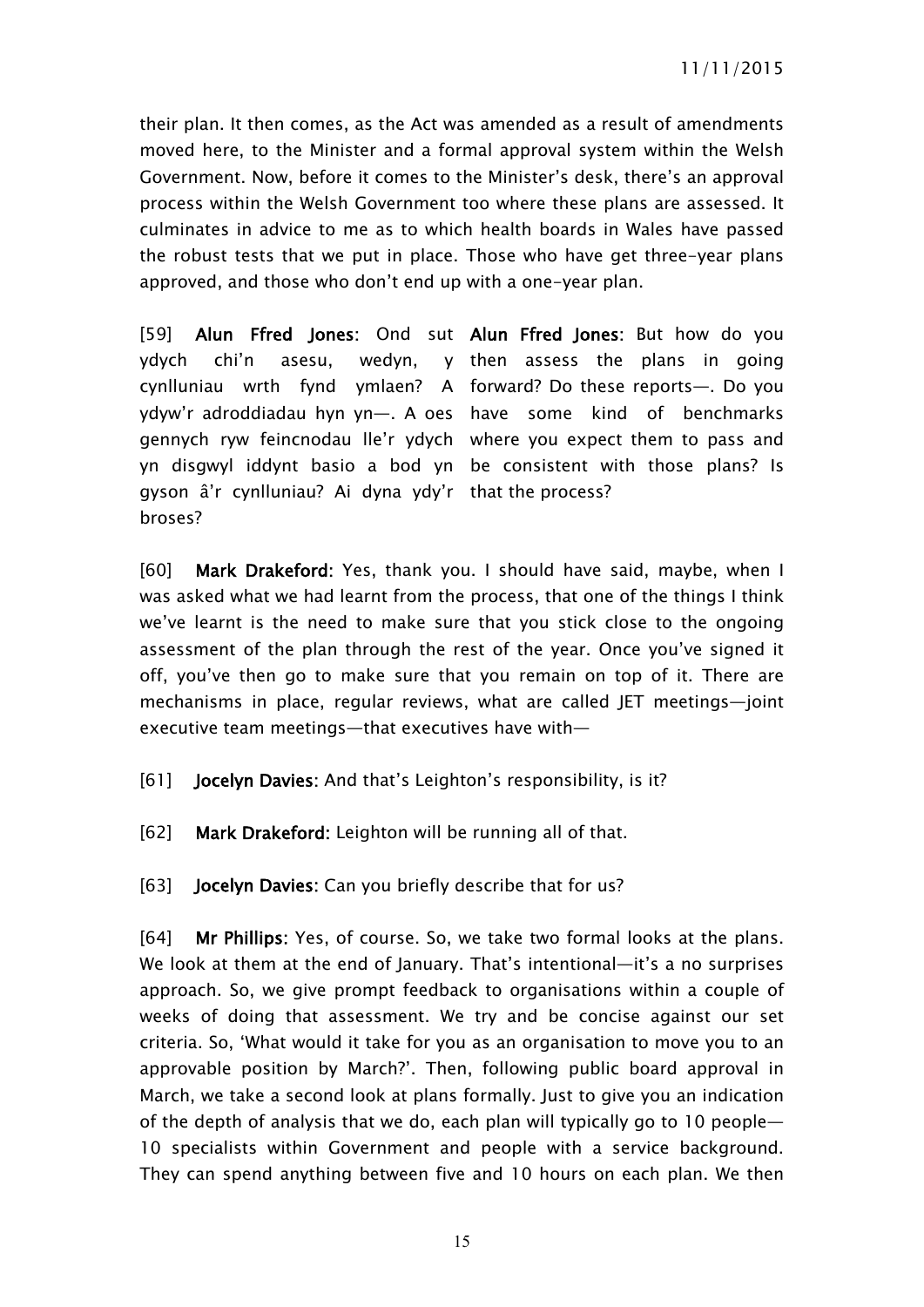their plan. It then comes, as the Act was amended as a result of amendments moved here, to the Minister and a formal approval system within the Welsh Government. Now, before it comes to the Minister's desk, there's an approval process within the Welsh Government too where these plans are assessed. It culminates in advice to me as to which health boards in Wales have passed the robust tests that we put in place. Those who have get three-year plans approved, and those who don't end up with a one-year plan.

[59] **Alun Ffred Jones:** Ond sut **Alun Ffred Jones:** But how do you ydych chi'n asesu, wedyn, y then assess the plans in going cynlluniau wrth fynd ymlaen? A forward? Do these reports—. Do you ydyw'r adroddiadau hyn yn—. A oes have some kind of benchmarks gennych ryw feincnodau lle'r ydych where you expect them to pass and yn disgwyl iddynt basio a bod yn be consistent with those plans? Is gyson â'r cynlluniau? Ai dyna ydy'r that the process? broses?

[60] **Mark Drakeford:** Yes, thank you. I should have said, maybe, when I was asked what we had learnt from the process, that one of the things I think we've learnt is the need to make sure that you stick close to the ongoing assessment of the plan through the rest of the year. Once you've signed it off, you've then go to make sure that you remain on top of it. There are mechanisms in place, regular reviews, what are called JET meetings—joint executive team meetings—that executives have with—

- [61] **Jocelyn Davies:** And that's Leighton's responsibility, is it?
- [62] **Mark Drakeford:** Leighton will be running all of that.
- [63] **Jocelyn Davies:** Can you briefly describe that for us?

[64] **Mr Phillips:** Yes, of course. So, we take two formal looks at the plans. We look at them at the end of January. That's intentional—it's a no surprises approach. So, we give prompt feedback to organisations within a couple of weeks of doing that assessment. We try and be concise against our set criteria. So, 'What would it take for you as an organisation to move you to an approvable position by March?'. Then, following public board approval in March, we take a second look at plans formally. Just to give you an indication of the depth of analysis that we do, each plan will typically go to 10 people— 10 specialists within Government and people with a service background. They can spend anything between five and 10 hours on each plan. We then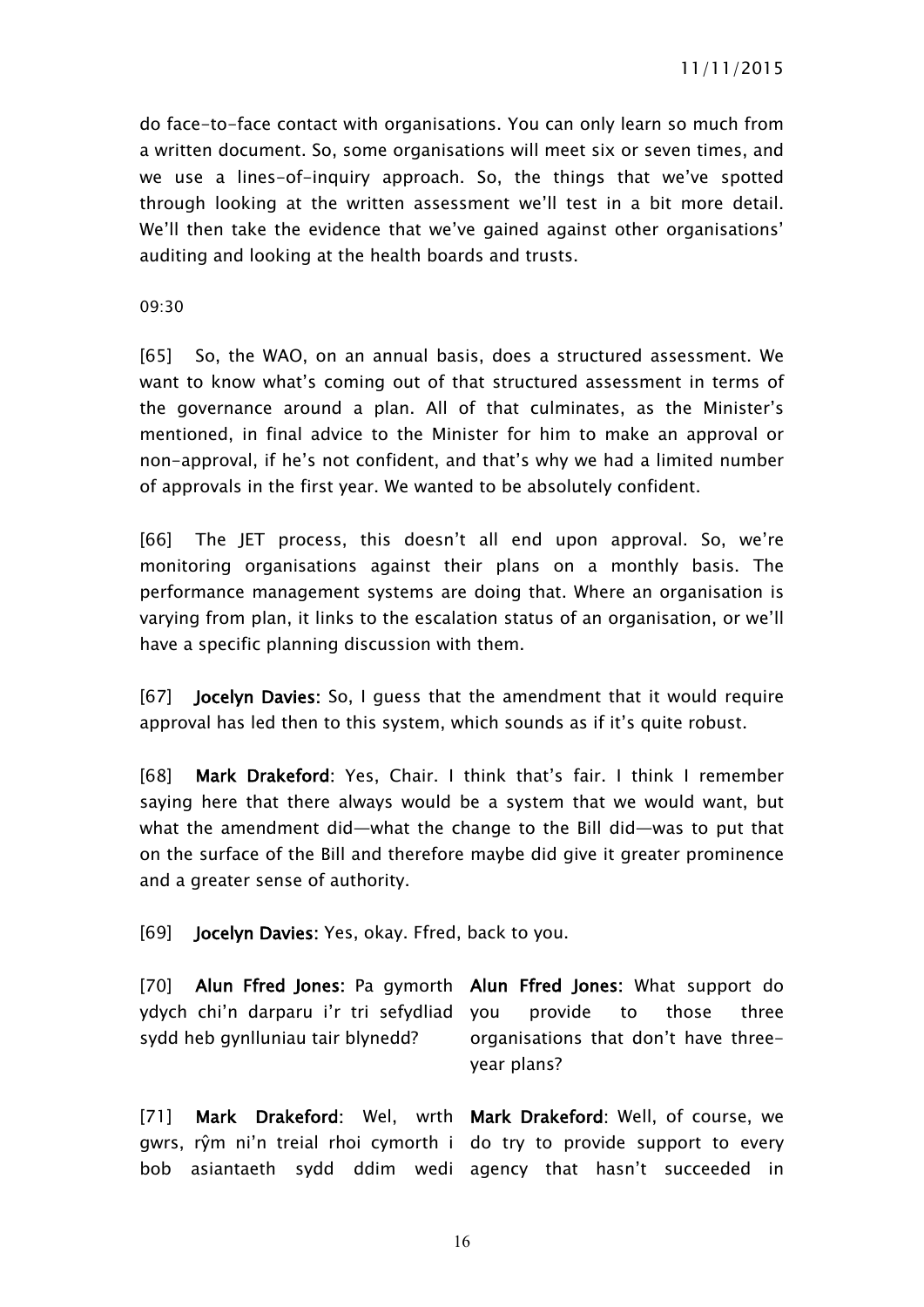do face-to-face contact with organisations. You can only learn so much from a written document. So, some organisations will meet six or seven times, and we use a lines-of-inquiry approach. So, the things that we've spotted through looking at the written assessment we'll test in a bit more detail. We'll then take the evidence that we've gained against other organisations' auditing and looking at the health boards and trusts.

09:30

[65] So, the WAO, on an annual basis, does a structured assessment. We want to know what's coming out of that structured assessment in terms of the governance around a plan. All of that culminates, as the Minister's mentioned, in final advice to the Minister for him to make an approval or non-approval, if he's not confident, and that's why we had a limited number of approvals in the first year. We wanted to be absolutely confident.

[66] The JET process, this doesn't all end upon approval. So, we're monitoring organisations against their plans on a monthly basis. The performance management systems are doing that. Where an organisation is varying from plan, it links to the escalation status of an organisation, or we'll have a specific planning discussion with them.

[67] **Jocelyn Davies:** So, I guess that the amendment that it would require approval has led then to this system, which sounds as if it's quite robust.

[68] **Mark Drakeford:** Yes, Chair. I think that's fair. I think I remember saying here that there always would be a system that we would want, but what the amendment did—what the change to the Bill did—was to put that on the surface of the Bill and therefore maybe did give it greater prominence and a greater sense of authority.

[69] **Jocelyn Davies:** Yes, okay. Ffred, back to you.

[70] **Alun Ffred Jones:** Pa gymorth **Alun Ffred Jones:** What support do ydych chi'n darparu i'r tri sefydliad sydd heb gynlluniau tair blynedd? provide to those three organisations that don't have threeyear plans?

[71] **Mark Drakeford:** Wel, wrth **Mark Drakeford:** Well, of course, we gwrs, rŷm ni'n treial rhoi cymorth i do try to provide support to every bob asiantaeth sydd ddim wedi agency that hasn't succeeded in

16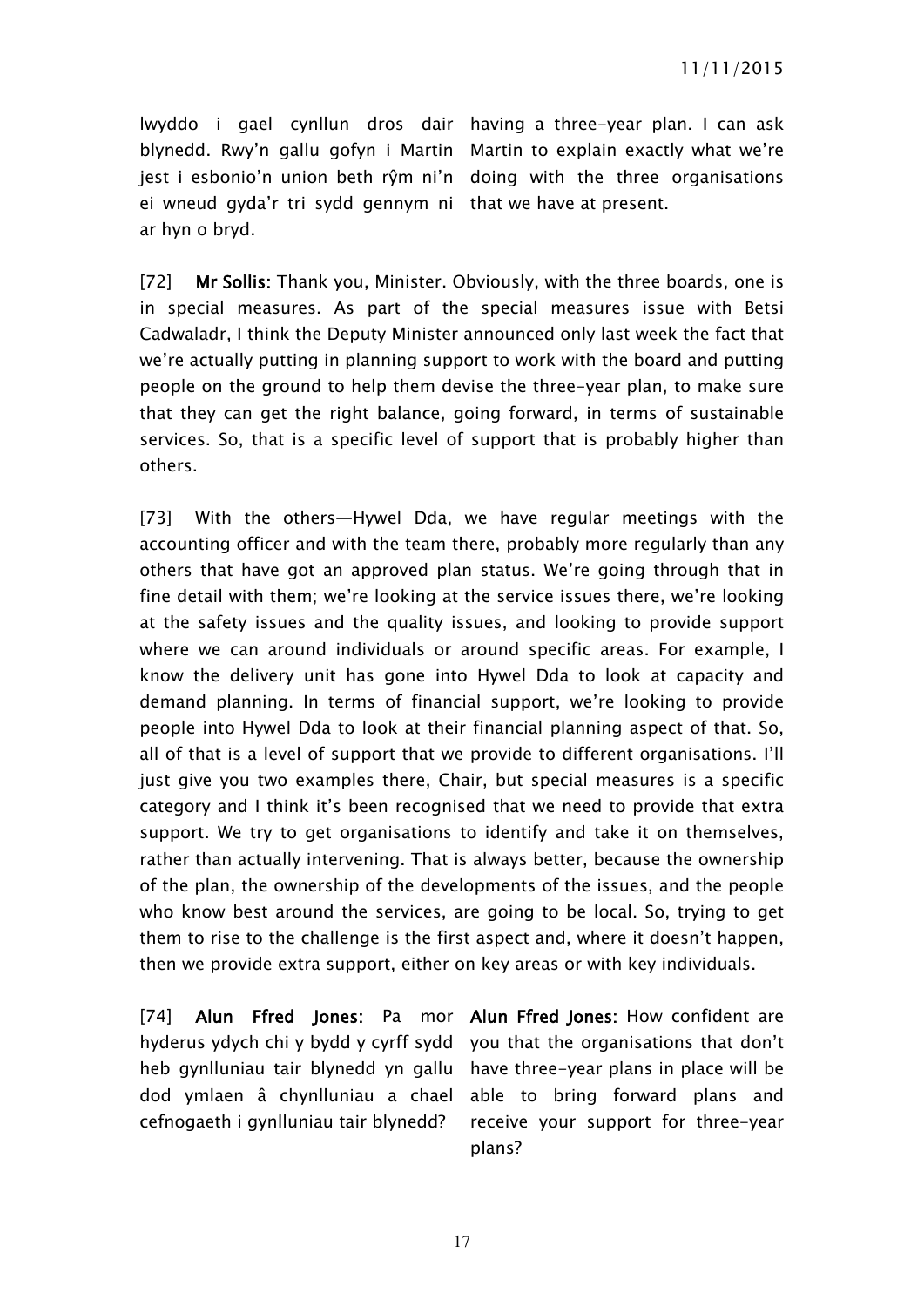lwyddo i gael cynllun dros dair having a three-year plan. I can ask blynedd. Rwy'n gallu gofyn i Martin Martin to explain exactly what we're jest i esbonio'n union beth rŷm ni'n doing with the three organisations ei wneud gyda'r tri sydd gennym ni that we have at present. ar hyn o bryd.

[72] **Mr Sollis:** Thank you, Minister. Obviously, with the three boards, one is in special measures. As part of the special measures issue with Betsi Cadwaladr, I think the Deputy Minister announced only last week the fact that we're actually putting in planning support to work with the board and putting people on the ground to help them devise the three-year plan, to make sure that they can get the right balance, going forward, in terms of sustainable services. So, that is a specific level of support that is probably higher than others.

[73] With the others—Hywel Dda, we have regular meetings with the accounting officer and with the team there, probably more regularly than any others that have got an approved plan status. We're going through that in fine detail with them; we're looking at the service issues there, we're looking at the safety issues and the quality issues, and looking to provide support where we can around individuals or around specific areas. For example, I know the delivery unit has gone into Hywel Dda to look at capacity and demand planning. In terms of financial support, we're looking to provide people into Hywel Dda to look at their financial planning aspect of that. So, all of that is a level of support that we provide to different organisations. I'll just give you two examples there, Chair, but special measures is a specific category and I think it's been recognised that we need to provide that extra support. We try to get organisations to identify and take it on themselves, rather than actually intervening. That is always better, because the ownership of the plan, the ownership of the developments of the issues, and the people who know best around the services, are going to be local. So, trying to get them to rise to the challenge is the first aspect and, where it doesn't happen, then we provide extra support, either on key areas or with key individuals.

[74] **Alun Ffred Jones:** Pa mor **Alun Ffred Jones:** How confident are hyderus ydych chi y bydd y cyrff sydd you that the organisations that don't heb gynlluniau tair blynedd yn gallu have three-year plans in place will be dod ymlaen â chynlluniau a chael able to bring forward plans and cefnogaeth i gynlluniau tair blynedd?

receive your support for three-year plans?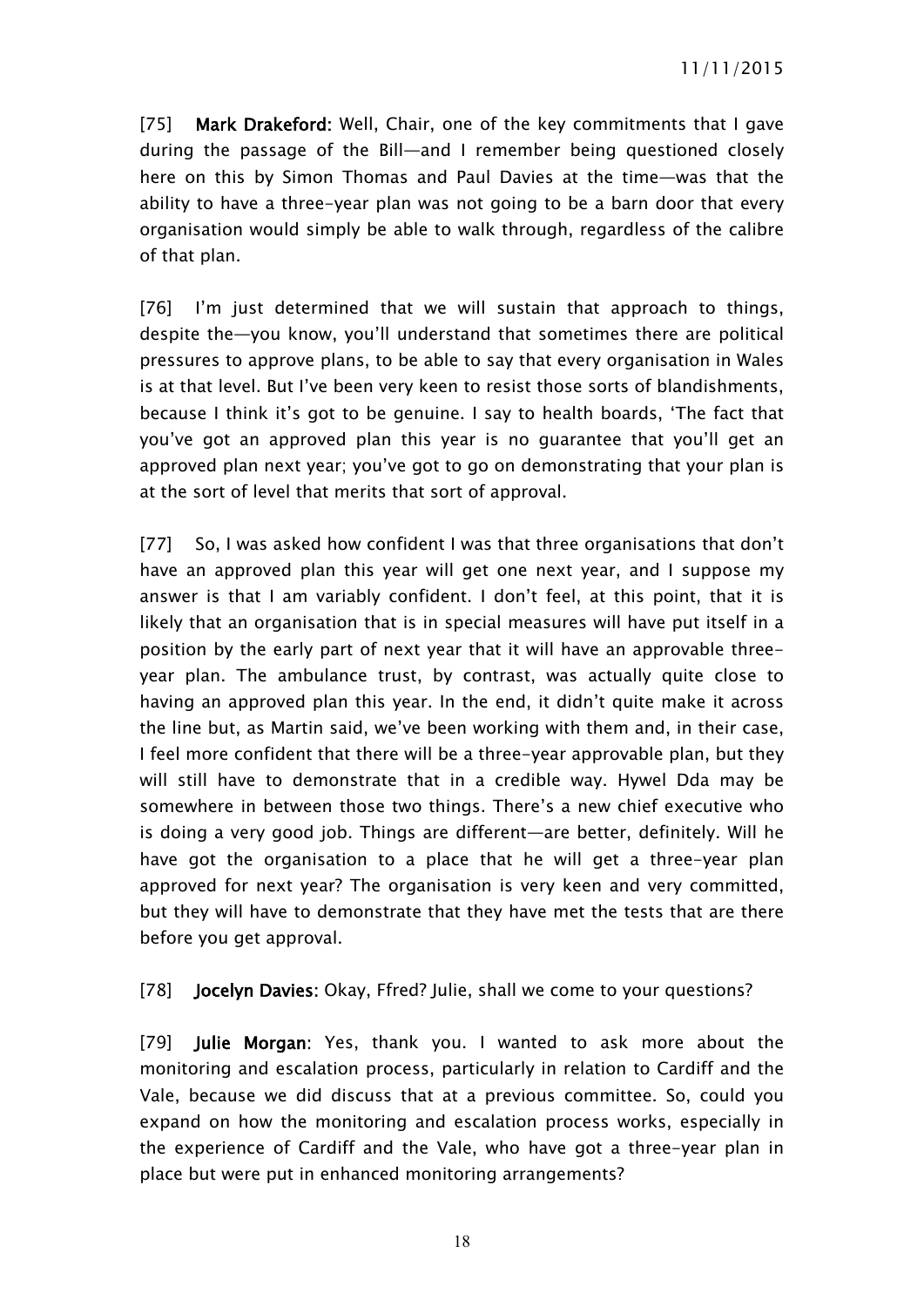[75] **Mark Drakeford:** Well, Chair, one of the key commitments that I gave during the passage of the Bill—and I remember being questioned closely here on this by Simon Thomas and Paul Davies at the time—was that the ability to have a three-year plan was not going to be a barn door that every organisation would simply be able to walk through, regardless of the calibre of that plan.

[76] I'm just determined that we will sustain that approach to things, despite the—you know, you'll understand that sometimes there are political pressures to approve plans, to be able to say that every organisation in Wales is at that level. But I've been very keen to resist those sorts of blandishments, because I think it's got to be genuine. I say to health boards, 'The fact that you've got an approved plan this year is no guarantee that you'll get an approved plan next year; you've got to go on demonstrating that your plan is at the sort of level that merits that sort of approval.

[77] So, I was asked how confident I was that three organisations that don't have an approved plan this year will get one next year, and I suppose my answer is that I am variably confident. I don't feel, at this point, that it is likely that an organisation that is in special measures will have put itself in a position by the early part of next year that it will have an approvable threeyear plan. The ambulance trust, by contrast, was actually quite close to having an approved plan this year. In the end, it didn't quite make it across the line but, as Martin said, we've been working with them and, in their case, I feel more confident that there will be a three-year approvable plan, but they will still have to demonstrate that in a credible way. Hywel Dda may be somewhere in between those two things. There's a new chief executive who is doing a very good job. Things are different—are better, definitely. Will he have got the organisation to a place that he will get a three-year plan approved for next year? The organisation is very keen and very committed, but they will have to demonstrate that they have met the tests that are there before you get approval.

[78] **Jocelyn Davies:** Okay, Ffred? Julie, shall we come to your questions?

[79] **Julie Morgan:** Yes, thank you. I wanted to ask more about the monitoring and escalation process, particularly in relation to Cardiff and the Vale, because we did discuss that at a previous committee. So, could you expand on how the monitoring and escalation process works, especially in the experience of Cardiff and the Vale, who have got a three-year plan in place but were put in enhanced monitoring arrangements?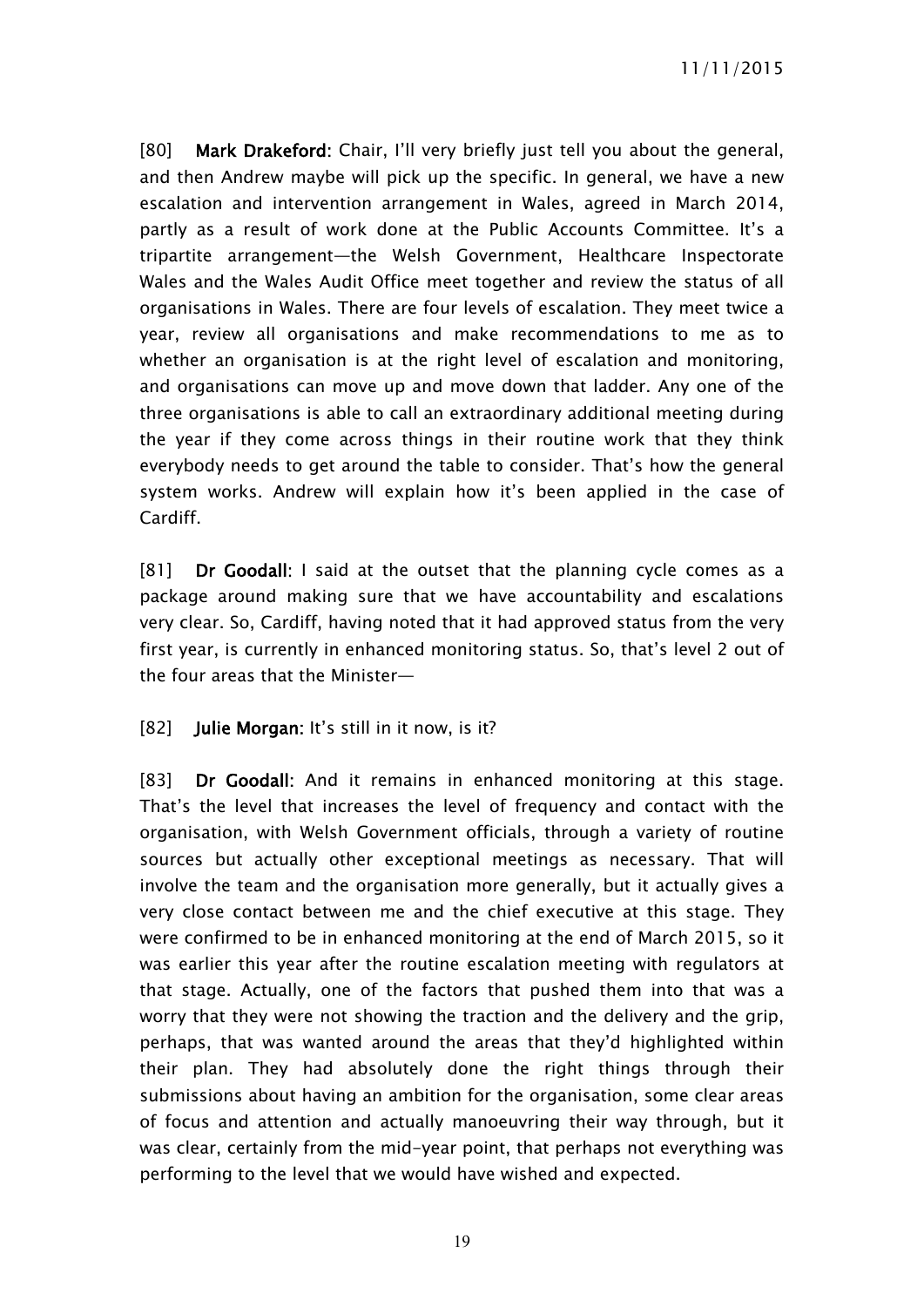[80] **Mark Drakeford:** Chair, I'll very briefly just tell you about the general, and then Andrew maybe will pick up the specific. In general, we have a new escalation and intervention arrangement in Wales, agreed in March 2014, partly as a result of work done at the Public Accounts Committee. It's a tripartite arrangement—the Welsh Government, Healthcare Inspectorate Wales and the Wales Audit Office meet together and review the status of all organisations in Wales. There are four levels of escalation. They meet twice a year, review all organisations and make recommendations to me as to whether an organisation is at the right level of escalation and monitoring, and organisations can move up and move down that ladder. Any one of the three organisations is able to call an extraordinary additional meeting during the year if they come across things in their routine work that they think everybody needs to get around the table to consider. That's how the general system works. Andrew will explain how it's been applied in the case of Cardiff.

[81] **Dr Goodall:** I said at the outset that the planning cycle comes as a package around making sure that we have accountability and escalations very clear. So, Cardiff, having noted that it had approved status from the very first year, is currently in enhanced monitoring status. So, that's level 2 out of the four areas that the Minister—

[82] **Julie Morgan:** It's still in it now, is it?

[83] **Dr Goodall:** And it remains in enhanced monitoring at this stage. That's the level that increases the level of frequency and contact with the organisation, with Welsh Government officials, through a variety of routine sources but actually other exceptional meetings as necessary. That will involve the team and the organisation more generally, but it actually gives a very close contact between me and the chief executive at this stage. They were confirmed to be in enhanced monitoring at the end of March 2015, so it was earlier this year after the routine escalation meeting with regulators at that stage. Actually, one of the factors that pushed them into that was a worry that they were not showing the traction and the delivery and the grip, perhaps, that was wanted around the areas that they'd highlighted within their plan. They had absolutely done the right things through their submissions about having an ambition for the organisation, some clear areas of focus and attention and actually manoeuvring their way through, but it was clear, certainly from the mid-year point, that perhaps not everything was performing to the level that we would have wished and expected.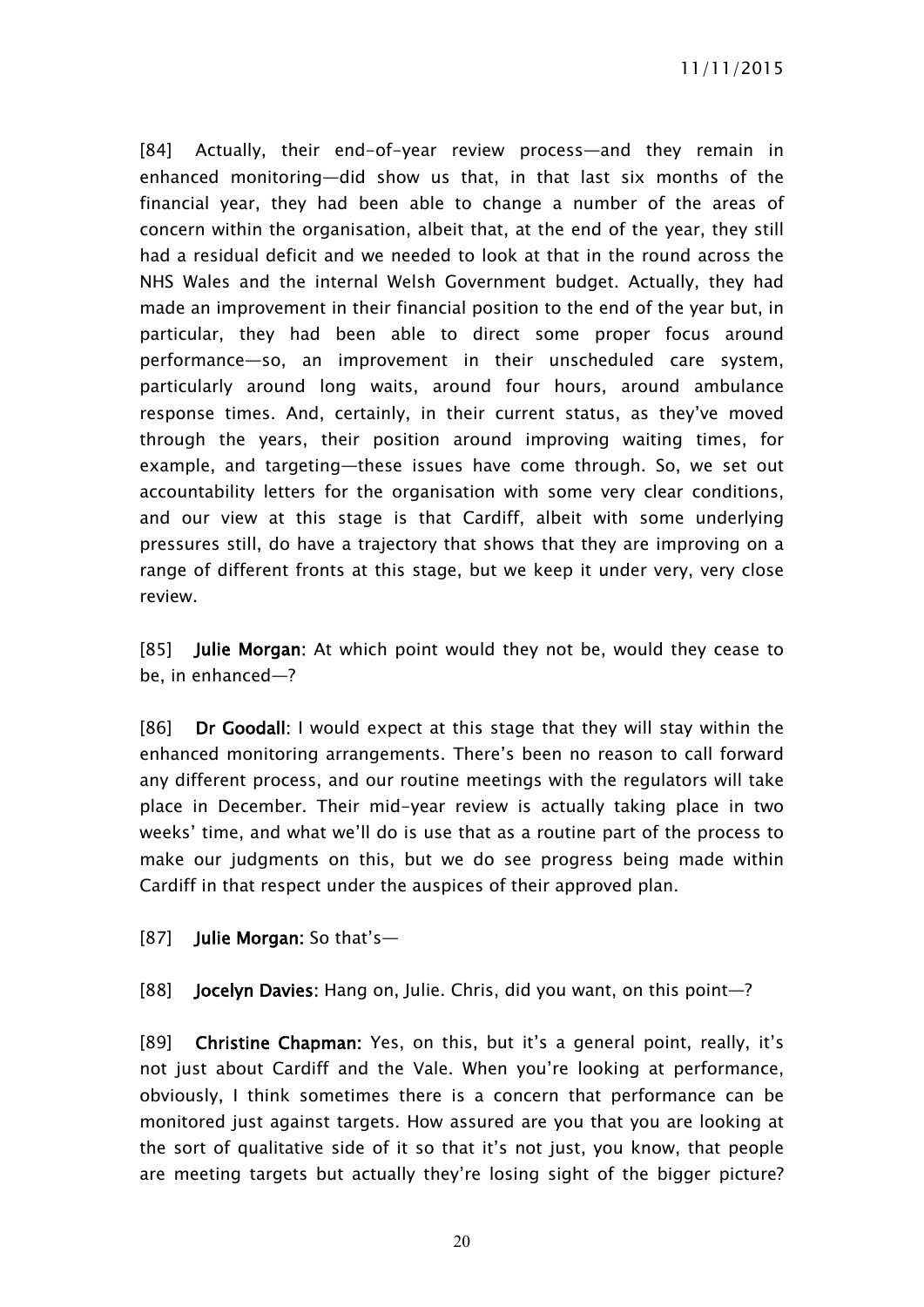[84] Actually, their end-of-year review process—and they remain in enhanced monitoring—did show us that, in that last six months of the financial year, they had been able to change a number of the areas of concern within the organisation, albeit that, at the end of the year, they still had a residual deficit and we needed to look at that in the round across the NHS Wales and the internal Welsh Government budget. Actually, they had made an improvement in their financial position to the end of the year but, in particular, they had been able to direct some proper focus around performance—so, an improvement in their unscheduled care system, particularly around long waits, around four hours, around ambulance response times. And, certainly, in their current status, as they've moved through the years, their position around improving waiting times, for example, and targeting—these issues have come through. So, we set out accountability letters for the organisation with some very clear conditions, and our view at this stage is that Cardiff, albeit with some underlying pressures still, do have a trajectory that shows that they are improving on a range of different fronts at this stage, but we keep it under very, very close review.

[85] **Julie Morgan:** At which point would they not be, would they cease to be, in enhanced—?

[86] **Dr Goodall:** I would expect at this stage that they will stay within the enhanced monitoring arrangements. There's been no reason to call forward any different process, and our routine meetings with the regulators will take place in December. Their mid-year review is actually taking place in two weeks' time, and what we'll do is use that as a routine part of the process to make our judgments on this, but we do see progress being made within Cardiff in that respect under the auspices of their approved plan.

[87] **Julie Morgan:** So that's—

[88] **Jocelyn Davies:** Hang on, Julie. Chris, did you want, on this point—?

[89] **Christine Chapman:** Yes, on this, but it's a general point, really, it's not just about Cardiff and the Vale. When you're looking at performance, obviously, I think sometimes there is a concern that performance can be monitored just against targets. How assured are you that you are looking at the sort of qualitative side of it so that it's not just, you know, that people are meeting targets but actually they're losing sight of the bigger picture?

20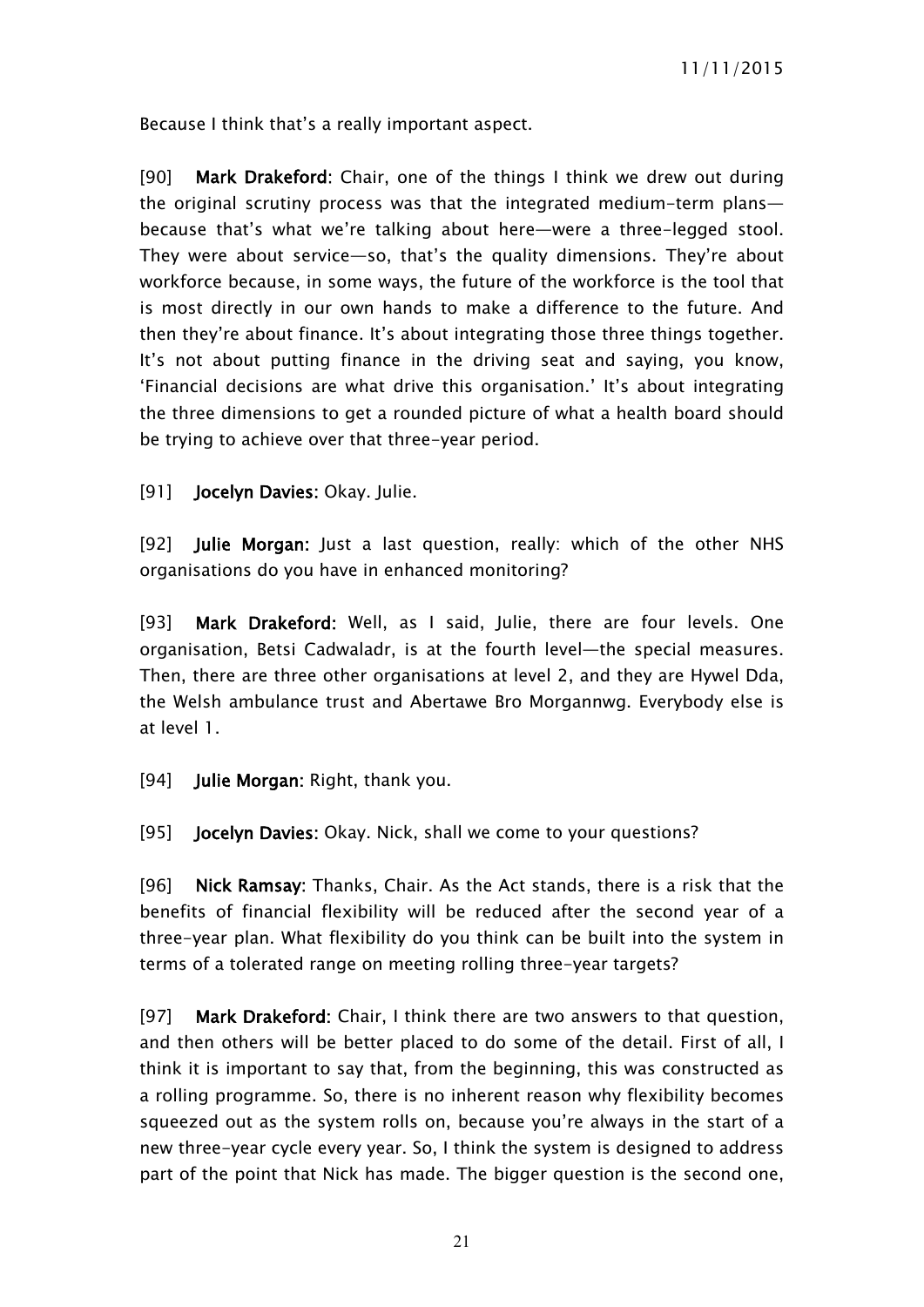Because I think that's a really important aspect.

[90] **Mark Drakeford:** Chair, one of the things I think we drew out during the original scrutiny process was that the integrated medium-term plans because that's what we're talking about here—were a three-legged stool. They were about service—so, that's the quality dimensions. They're about workforce because, in some ways, the future of the workforce is the tool that is most directly in our own hands to make a difference to the future. And then they're about finance. It's about integrating those three things together. It's not about putting finance in the driving seat and saying, you know, 'Financial decisions are what drive this organisation.' It's about integrating the three dimensions to get a rounded picture of what a health board should be trying to achieve over that three-year period.

[91] **Jocelyn Davies:** Okay. Julie.

[92] **Julie Morgan:** Just a last question, really: which of the other NHS organisations do you have in enhanced monitoring?

[93] **Mark Drakeford:** Well, as I said, Julie, there are four levels. One organisation, Betsi Cadwaladr, is at the fourth level—the special measures. Then, there are three other organisations at level 2, and they are Hywel Dda, the Welsh ambulance trust and Abertawe Bro Morgannwg. Everybody else is at level 1.

[94] **Julie Morgan:** Right, thank you.

[95] **Jocelyn Davies:** Okay. Nick, shall we come to your questions?

[96] **Nick Ramsay:** Thanks, Chair. As the Act stands, there is a risk that the benefits of financial flexibility will be reduced after the second year of a three-year plan. What flexibility do you think can be built into the system in terms of a tolerated range on meeting rolling three-year targets?

[97] **Mark Drakeford:** Chair, I think there are two answers to that question, and then others will be better placed to do some of the detail. First of all, I think it is important to say that, from the beginning, this was constructed as a rolling programme. So, there is no inherent reason why flexibility becomes squeezed out as the system rolls on, because you're always in the start of a new three-year cycle every year. So, I think the system is designed to address part of the point that Nick has made. The bigger question is the second one,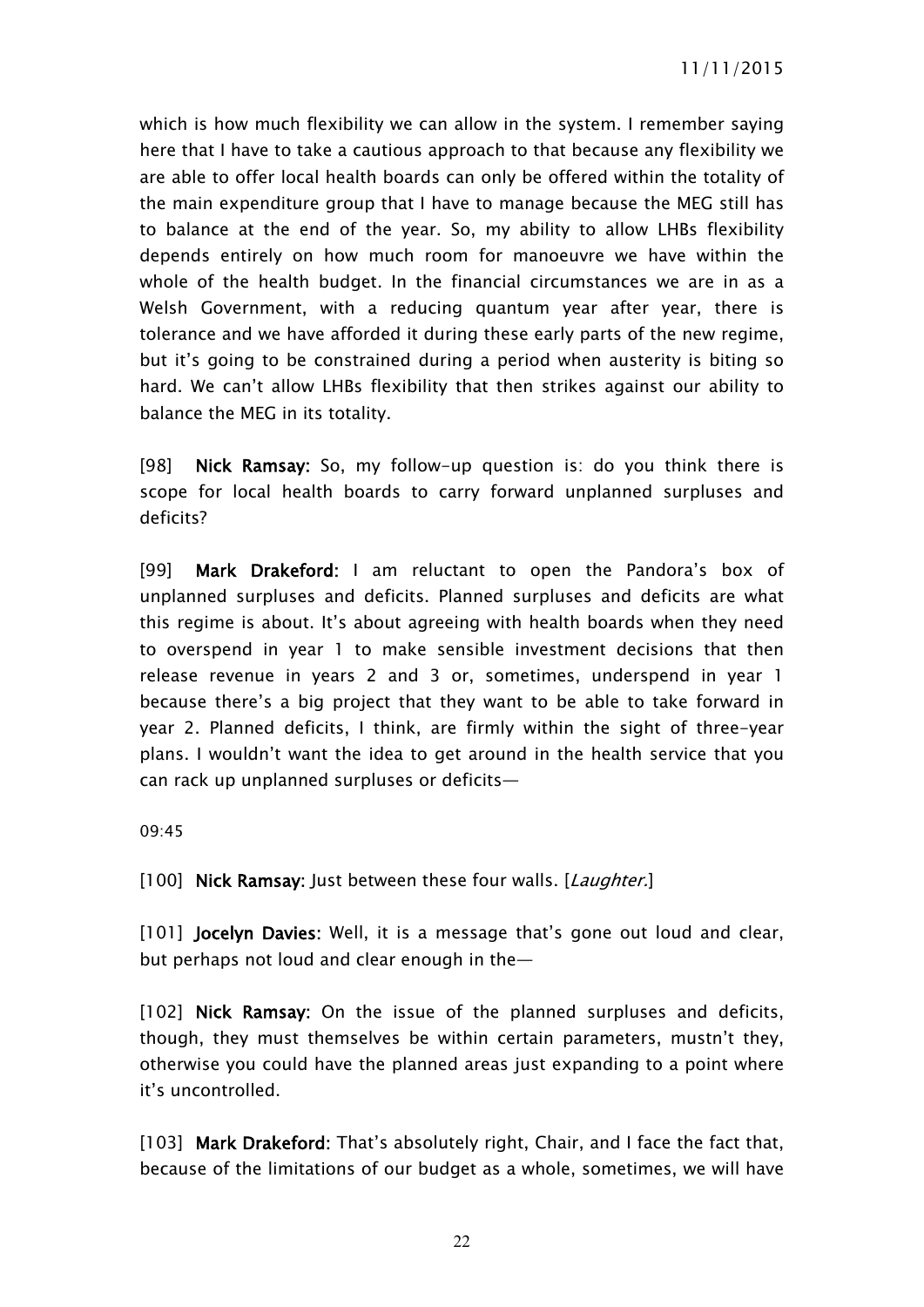which is how much flexibility we can allow in the system. I remember saying here that I have to take a cautious approach to that because any flexibility we are able to offer local health boards can only be offered within the totality of the main expenditure group that I have to manage because the MEG still has to balance at the end of the year. So, my ability to allow LHBs flexibility depends entirely on how much room for manoeuvre we have within the whole of the health budget. In the financial circumstances we are in as a Welsh Government, with a reducing quantum year after year, there is tolerance and we have afforded it during these early parts of the new regime, but it's going to be constrained during a period when austerity is biting so hard. We can't allow LHBs flexibility that then strikes against our ability to balance the MEG in its totality.

[98] **Nick Ramsay:** So, my follow-up question is: do you think there is scope for local health boards to carry forward unplanned surpluses and deficits?

[99] **Mark Drakeford:** I am reluctant to open the Pandora's box of unplanned surpluses and deficits. Planned surpluses and deficits are what this regime is about. It's about agreeing with health boards when they need to overspend in year 1 to make sensible investment decisions that then release revenue in years 2 and 3 or, sometimes, underspend in year 1 because there's a big project that they want to be able to take forward in year 2. Planned deficits, I think, are firmly within the sight of three-year plans. I wouldn't want the idea to get around in the health service that you can rack up unplanned surpluses or deficits—

09:45

[100] **Nick Ramsay:** Just between these four walls. [*Laughter.*]

[101] **Jocelyn Davies:** Well, it is a message that's gone out loud and clear, but perhaps not loud and clear enough in the—

[102] **Nick Ramsay:** On the issue of the planned surpluses and deficits, though, they must themselves be within certain parameters, mustn't they, otherwise you could have the planned areas just expanding to a point where it's uncontrolled.

[103] **Mark Drakeford:** That's absolutely right, Chair, and I face the fact that, because of the limitations of our budget as a whole, sometimes, we will have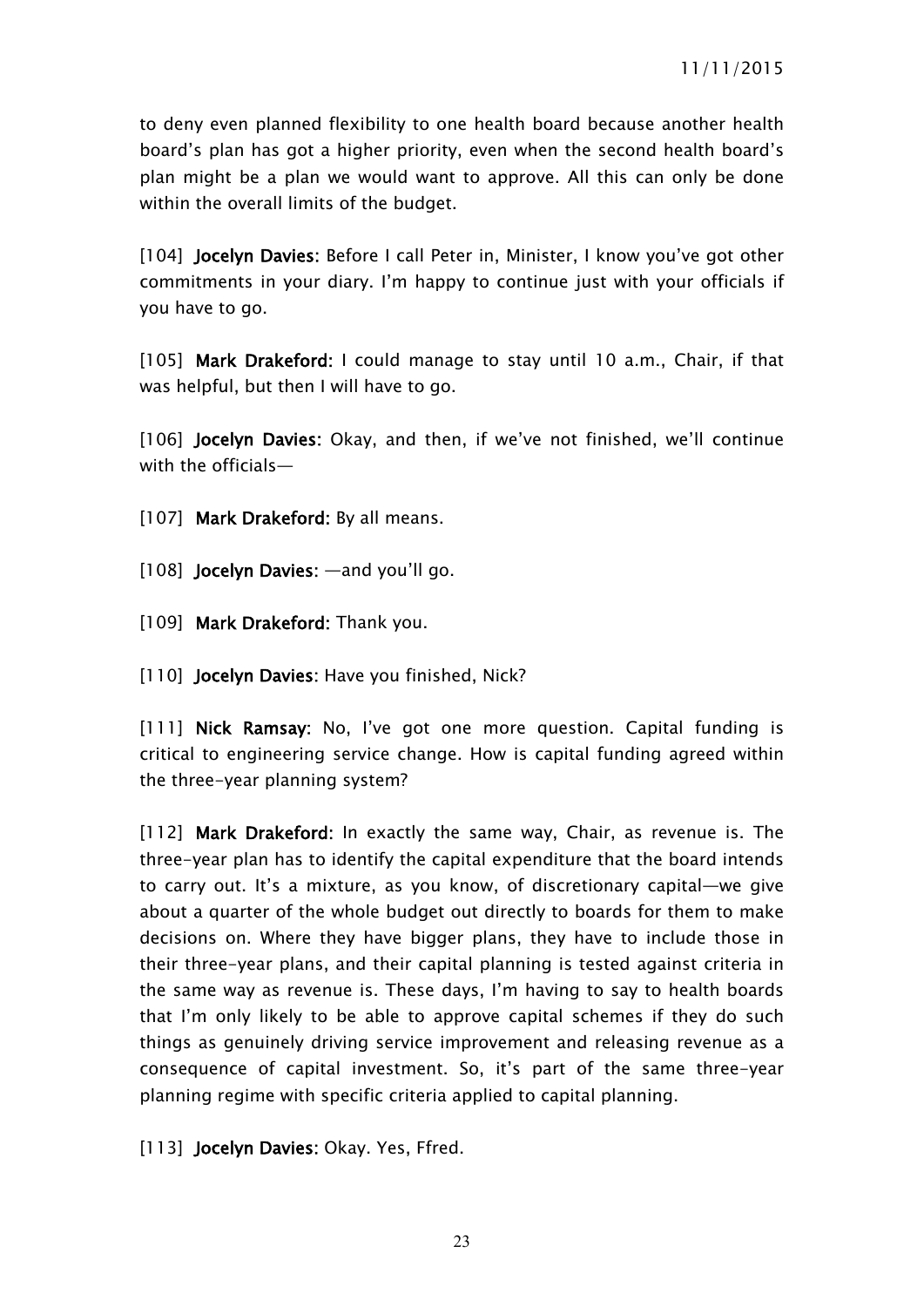to deny even planned flexibility to one health board because another health board's plan has got a higher priority, even when the second health board's plan might be a plan we would want to approve. All this can only be done within the overall limits of the budget.

[104] **Jocelyn Davies:** Before I call Peter in, Minister, I know you've got other commitments in your diary. I'm happy to continue just with your officials if you have to go.

[105] **Mark Drakeford:** I could manage to stay until 10 a.m., Chair, if that was helpful, but then I will have to go.

[106] **Jocelyn Davies:** Okay, and then, if we've not finished, we'll continue with the officials—

[107] **Mark Drakeford:** By all means.

- [108] **Jocelyn Davies:** —and you'll go.
- [109] **Mark Drakeford:** Thank you.
- [110] **Jocelyn Davies:** Have you finished, Nick?

[111] **Nick Ramsay:** No, I've got one more question. Capital funding is critical to engineering service change. How is capital funding agreed within the three-year planning system?

[112] **Mark Drakeford:** In exactly the same way, Chair, as revenue is. The three-year plan has to identify the capital expenditure that the board intends to carry out. It's a mixture, as you know, of discretionary capital—we give about a quarter of the whole budget out directly to boards for them to make decisions on. Where they have bigger plans, they have to include those in their three-year plans, and their capital planning is tested against criteria in the same way as revenue is. These days, I'm having to say to health boards that I'm only likely to be able to approve capital schemes if they do such things as genuinely driving service improvement and releasing revenue as a consequence of capital investment. So, it's part of the same three-year planning regime with specific criteria applied to capital planning.

[113] **Jocelyn Davies:** Okay. Yes, Ffred.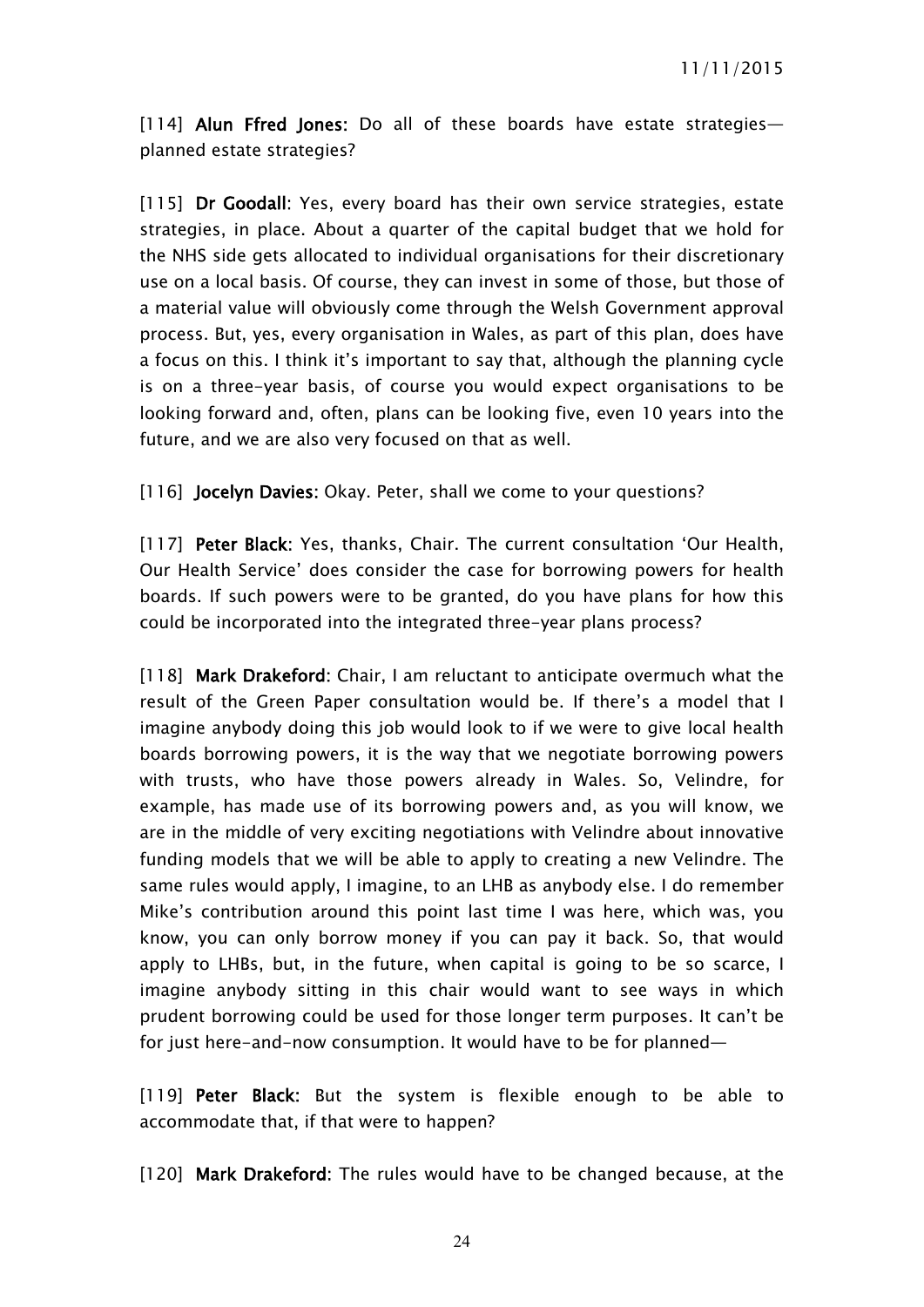[114] **Alun Ffred Jones:** Do all of these boards have estate strategies planned estate strategies?

[115] **Dr Goodall:** Yes, every board has their own service strategies, estate strategies, in place. About a quarter of the capital budget that we hold for the NHS side gets allocated to individual organisations for their discretionary use on a local basis. Of course, they can invest in some of those, but those of a material value will obviously come through the Welsh Government approval process. But, yes, every organisation in Wales, as part of this plan, does have a focus on this. I think it's important to say that, although the planning cycle is on a three-year basis, of course you would expect organisations to be looking forward and, often, plans can be looking five, even 10 years into the future, and we are also very focused on that as well.

[116] **Jocelyn Davies:** Okay. Peter, shall we come to your questions?

[117] **Peter Black:** Yes, thanks, Chair. The current consultation 'Our Health, Our Health Service' does consider the case for borrowing powers for health boards. If such powers were to be granted, do you have plans for how this could be incorporated into the integrated three-year plans process?

[118] **Mark Drakeford:** Chair, I am reluctant to anticipate overmuch what the result of the Green Paper consultation would be. If there's a model that I imagine anybody doing this job would look to if we were to give local health boards borrowing powers, it is the way that we negotiate borrowing powers with trusts, who have those powers already in Wales. So, Velindre, for example, has made use of its borrowing powers and, as you will know, we are in the middle of very exciting negotiations with Velindre about innovative funding models that we will be able to apply to creating a new Velindre. The same rules would apply, I imagine, to an LHB as anybody else. I do remember Mike's contribution around this point last time I was here, which was, you know, you can only borrow money if you can pay it back. So, that would apply to LHBs, but, in the future, when capital is going to be so scarce, I imagine anybody sitting in this chair would want to see ways in which prudent borrowing could be used for those longer term purposes. It can't be for just here-and-now consumption. It would have to be for planned—

[119] **Peter Black:** But the system is flexible enough to be able to accommodate that, if that were to happen?

[120] **Mark Drakeford:** The rules would have to be changed because, at the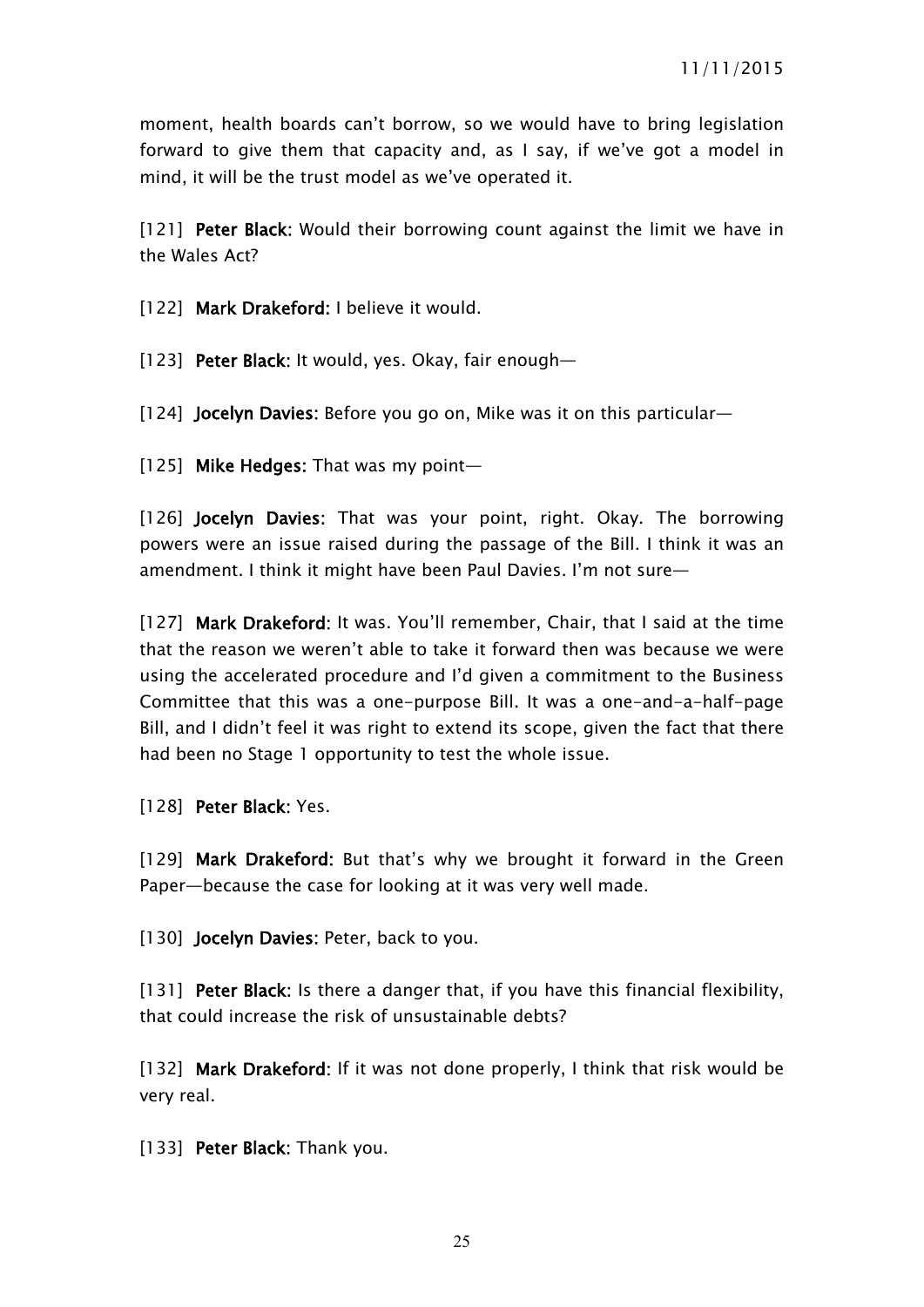moment, health boards can't borrow, so we would have to bring legislation forward to give them that capacity and, as I say, if we've got a model in mind, it will be the trust model as we've operated it.

[121] **Peter Black:** Would their borrowing count against the limit we have in the Wales Act?

[122] **Mark Drakeford:** I believe it would.

[123] **Peter Black:** It would, yes. Okay, fair enough—

[124] **Jocelyn Davies:** Before you go on, Mike was it on this particular—

[125] **Mike Hedges:** That was my point—

[126] **Jocelyn Davies:** That was your point, right. Okay. The borrowing powers were an issue raised during the passage of the Bill. I think it was an amendment. I think it might have been Paul Davies. I'm not sure—

[127] **Mark Drakeford:** It was. You'll remember, Chair, that I said at the time that the reason we weren't able to take it forward then was because we were using the accelerated procedure and I'd given a commitment to the Business Committee that this was a one-purpose Bill. It was a one-and-a-half-page Bill, and I didn't feel it was right to extend its scope, given the fact that there had been no Stage 1 opportunity to test the whole issue.

[128] **Peter Black:** Yes.

[129] **Mark Drakeford:** But that's why we brought it forward in the Green Paper—because the case for looking at it was very well made.

[130] **Jocelyn Davies:** Peter, back to you.

[131] **Peter Black:** Is there a danger that, if you have this financial flexibility, that could increase the risk of unsustainable debts?

[132] **Mark Drakeford:** If it was not done properly, I think that risk would be very real.

[133] **Peter Black:** Thank you.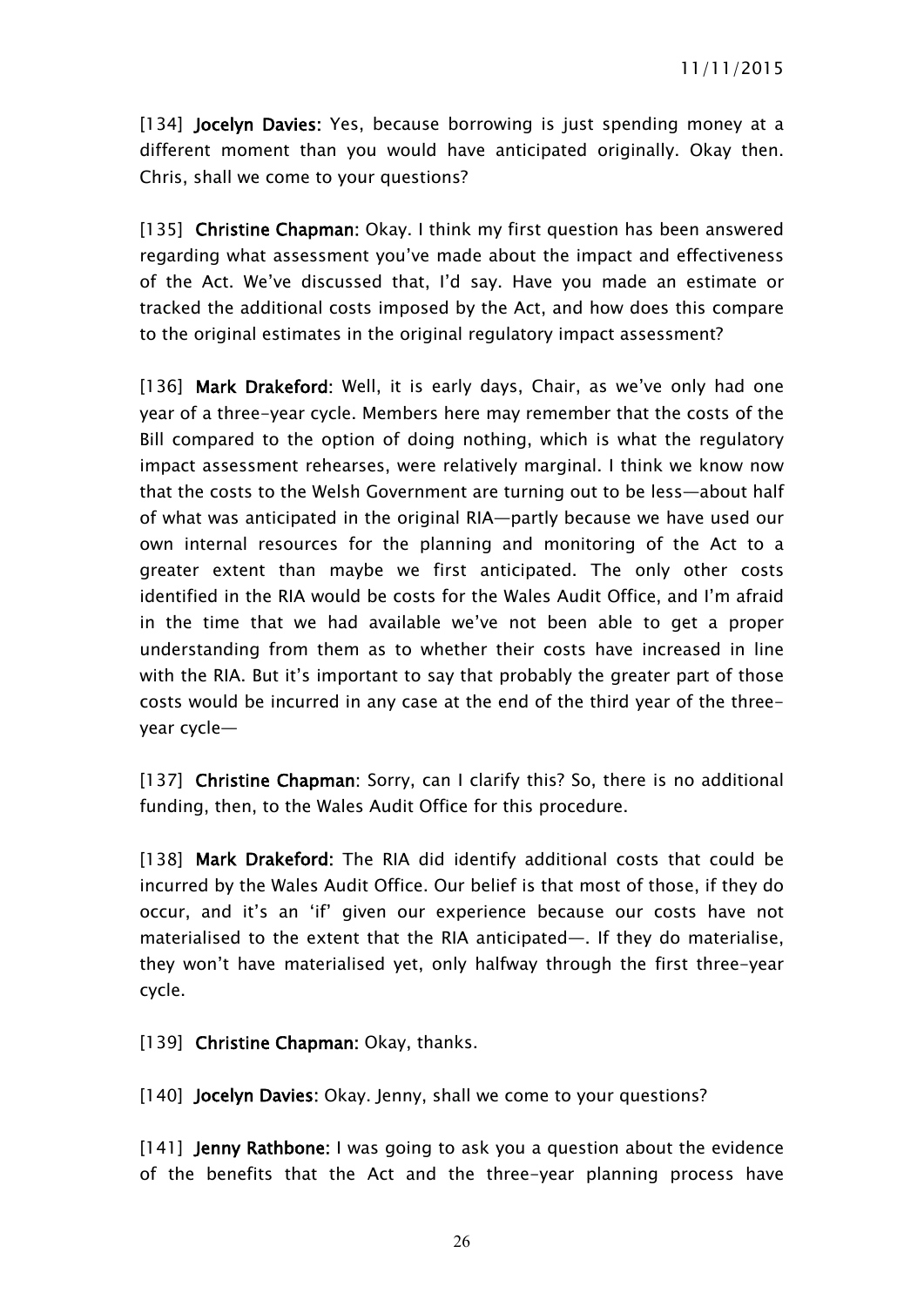[134] **Jocelyn Davies:** Yes, because borrowing is just spending money at a different moment than you would have anticipated originally. Okay then. Chris, shall we come to your questions?

[135] **Christine Chapman:** Okay. I think my first question has been answered regarding what assessment you've made about the impact and effectiveness of the Act. We've discussed that, I'd say. Have you made an estimate or tracked the additional costs imposed by the Act, and how does this compare to the original estimates in the original regulatory impact assessment?

[136] **Mark Drakeford:** Well, it is early days, Chair, as we've only had one year of a three-year cycle. Members here may remember that the costs of the Bill compared to the option of doing nothing, which is what the regulatory impact assessment rehearses, were relatively marginal. I think we know now that the costs to the Welsh Government are turning out to be less—about half of what was anticipated in the original RIA—partly because we have used our own internal resources for the planning and monitoring of the Act to a greater extent than maybe we first anticipated. The only other costs identified in the RIA would be costs for the Wales Audit Office, and I'm afraid in the time that we had available we've not been able to get a proper understanding from them as to whether their costs have increased in line with the RIA. But it's important to say that probably the greater part of those costs would be incurred in any case at the end of the third year of the threeyear cycle—

[137] **Christine Chapman:** Sorry, can I clarify this? So, there is no additional funding, then, to the Wales Audit Office for this procedure.

[138] **Mark Drakeford:** The RIA did identify additional costs that could be incurred by the Wales Audit Office. Our belief is that most of those, if they do occur, and it's an 'if' given our experience because our costs have not materialised to the extent that the RIA anticipated—. If they do materialise, they won't have materialised yet, only halfway through the first three-year cycle.

[139] **Christine Chapman:** Okay, thanks.

[140] **Jocelyn Davies:** Okay. Jenny, shall we come to your questions?

[141] **Jenny Rathbone:** I was going to ask you a question about the evidence of the benefits that the Act and the three-year planning process have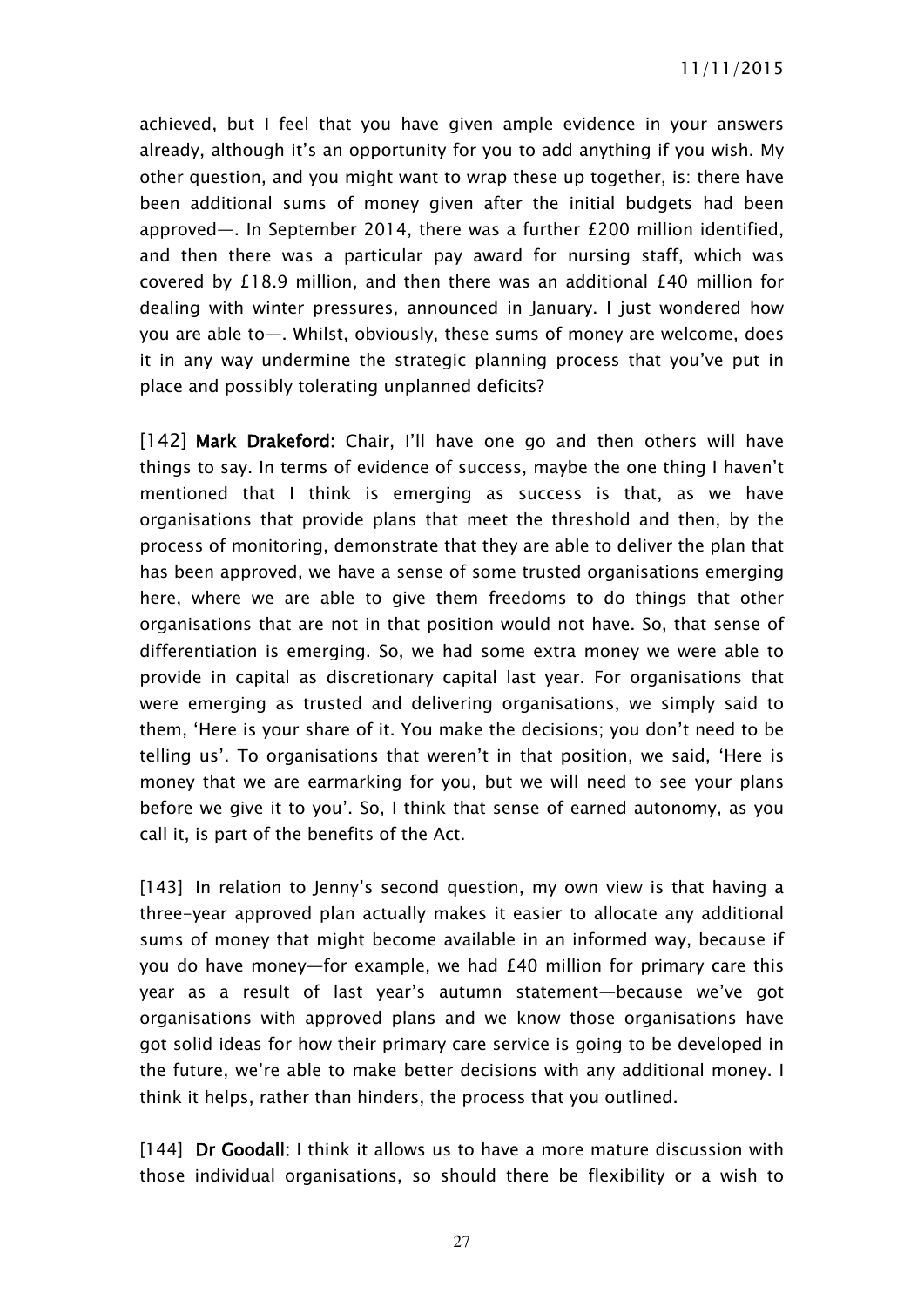achieved, but I feel that you have given ample evidence in your answers already, although it's an opportunity for you to add anything if you wish. My other question, and you might want to wrap these up together, is: there have been additional sums of money given after the initial budgets had been approved—. In September 2014, there was a further £200 million identified, and then there was a particular pay award for nursing staff, which was covered by £18.9 million, and then there was an additional £40 million for dealing with winter pressures, announced in January. I just wondered how you are able to—. Whilst, obviously, these sums of money are welcome, does it in any way undermine the strategic planning process that you've put in place and possibly tolerating unplanned deficits?

[142] **Mark Drakeford:** Chair, I'll have one go and then others will have things to say. In terms of evidence of success, maybe the one thing I haven't mentioned that I think is emerging as success is that, as we have organisations that provide plans that meet the threshold and then, by the process of monitoring, demonstrate that they are able to deliver the plan that has been approved, we have a sense of some trusted organisations emerging here, where we are able to give them freedoms to do things that other organisations that are not in that position would not have. So, that sense of differentiation is emerging. So, we had some extra money we were able to provide in capital as discretionary capital last year. For organisations that were emerging as trusted and delivering organisations, we simply said to them, 'Here is your share of it. You make the decisions; you don't need to be telling us'. To organisations that weren't in that position, we said, 'Here is money that we are earmarking for you, but we will need to see your plans before we give it to you'. So, I think that sense of earned autonomy, as you call it, is part of the benefits of the Act.

[143] In relation to Jenny's second question, my own view is that having a three-year approved plan actually makes it easier to allocate any additional sums of money that might become available in an informed way, because if you do have money—for example, we had £40 million for primary care this year as a result of last year's autumn statement—because we've got organisations with approved plans and we know those organisations have got solid ideas for how their primary care service is going to be developed in the future, we're able to make better decisions with any additional money. I think it helps, rather than hinders, the process that you outlined.

[144] **Dr Goodall:** I think it allows us to have a more mature discussion with those individual organisations, so should there be flexibility or a wish to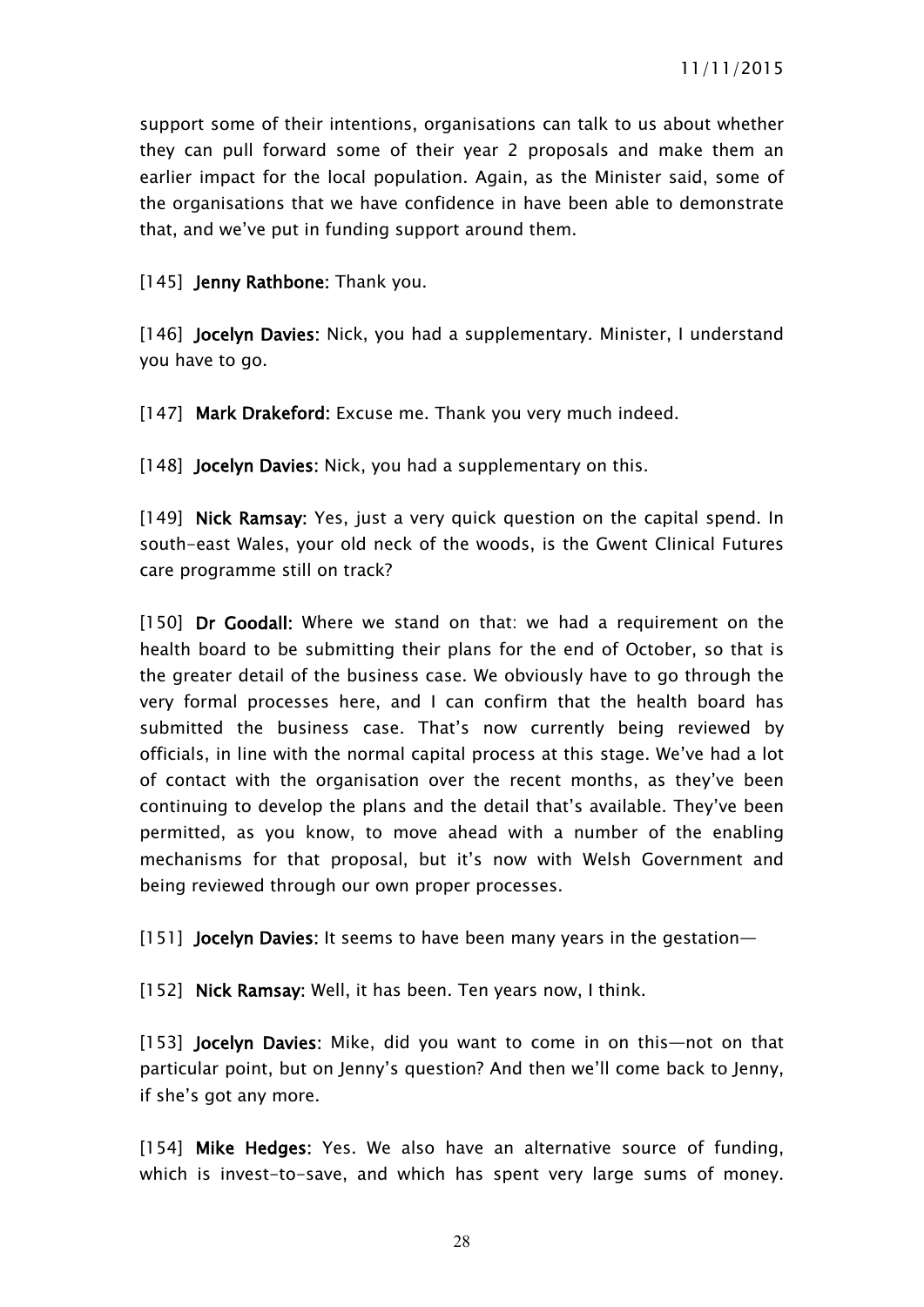support some of their intentions, organisations can talk to us about whether they can pull forward some of their year 2 proposals and make them an earlier impact for the local population. Again, as the Minister said, some of the organisations that we have confidence in have been able to demonstrate that, and we've put in funding support around them.

[145] **Jenny Rathbone:** Thank you.

[146] **Jocelyn Davies:** Nick, you had a supplementary. Minister, I understand you have to go.

[147] **Mark Drakeford:** Excuse me. Thank you very much indeed.

[148] **Jocelyn Davies:** Nick, you had a supplementary on this.

[149] **Nick Ramsay:** Yes, just a very quick question on the capital spend. In south-east Wales, your old neck of the woods, is the Gwent Clinical Futures care programme still on track?

[150] **Dr Goodall:** Where we stand on that: we had a requirement on the health board to be submitting their plans for the end of October, so that is the greater detail of the business case. We obviously have to go through the very formal processes here, and I can confirm that the health board has submitted the business case. That's now currently being reviewed by officials, in line with the normal capital process at this stage. We've had a lot of contact with the organisation over the recent months, as they've been continuing to develop the plans and the detail that's available. They've been permitted, as you know, to move ahead with a number of the enabling mechanisms for that proposal, but it's now with Welsh Government and being reviewed through our own proper processes.

[151] **Jocelyn Davies:** It seems to have been many years in the gestation—

[152] **Nick Ramsay:** Well, it has been. Ten years now, I think.

[153] **Jocelyn Davies:** Mike, did you want to come in on this—not on that particular point, but on Jenny's question? And then we'll come back to Jenny, if she's got any more.

[154] **Mike Hedges:** Yes. We also have an alternative source of funding, which is invest-to-save, and which has spent very large sums of money.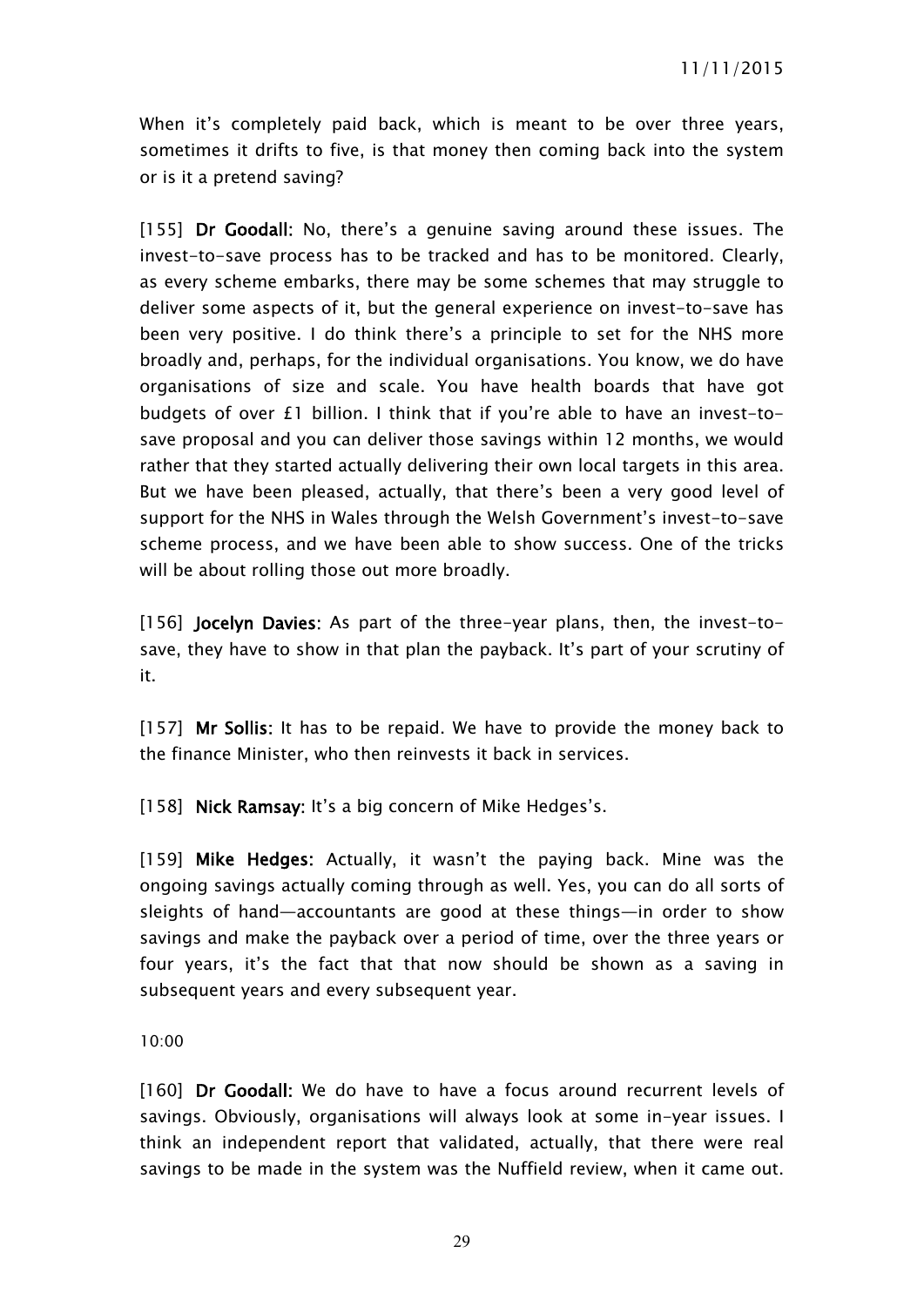When it's completely paid back, which is meant to be over three years, sometimes it drifts to five, is that money then coming back into the system or is it a pretend saving?

[155] **Dr Goodall:** No, there's a genuine saving around these issues. The invest-to-save process has to be tracked and has to be monitored. Clearly, as every scheme embarks, there may be some schemes that may struggle to deliver some aspects of it, but the general experience on invest-to-save has been very positive. I do think there's a principle to set for the NHS more broadly and, perhaps, for the individual organisations. You know, we do have organisations of size and scale. You have health boards that have got budgets of over £1 billion. I think that if you're able to have an invest-tosave proposal and you can deliver those savings within 12 months, we would rather that they started actually delivering their own local targets in this area. But we have been pleased, actually, that there's been a very good level of support for the NHS in Wales through the Welsh Government's invest-to-save scheme process, and we have been able to show success. One of the tricks will be about rolling those out more broadly.

[156] **Jocelyn Davies:** As part of the three-year plans, then, the invest-tosave, they have to show in that plan the payback. It's part of your scrutiny of it.

[157] **Mr Sollis:** It has to be repaid. We have to provide the money back to the finance Minister, who then reinvests it back in services.

[158] **Nick Ramsay:** It's a big concern of Mike Hedges's.

[159] **Mike Hedges:** Actually, it wasn't the paying back. Mine was the ongoing savings actually coming through as well. Yes, you can do all sorts of sleights of hand—accountants are good at these things—in order to show savings and make the payback over a period of time, over the three years or four years, it's the fact that that now should be shown as a saving in subsequent years and every subsequent year.

10:00

[160] **Dr Goodall:** We do have to have a focus around recurrent levels of savings. Obviously, organisations will always look at some in-year issues. I think an independent report that validated, actually, that there were real savings to be made in the system was the Nuffield review, when it came out.

29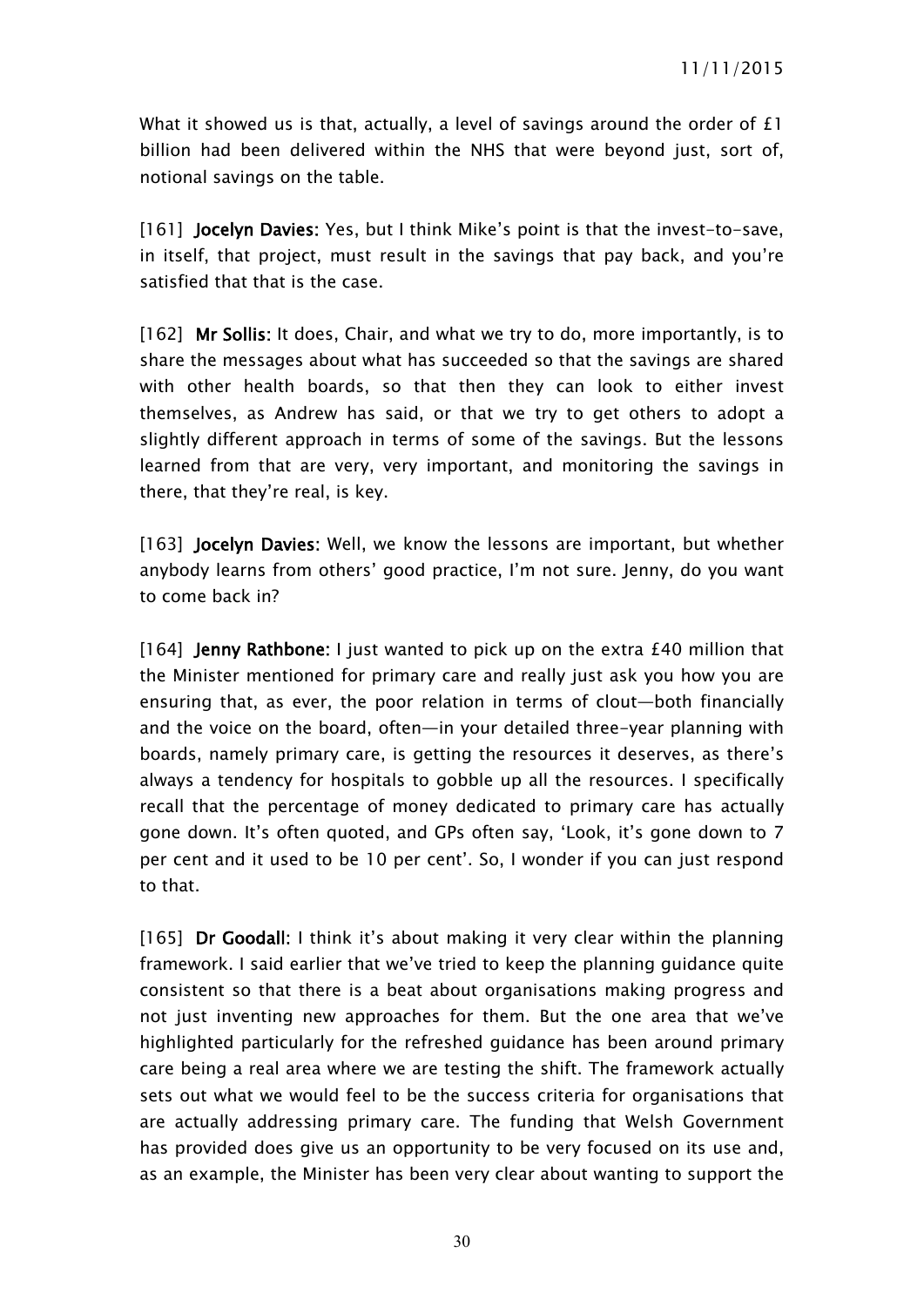What it showed us is that, actually, a level of savings around the order of £1 billion had been delivered within the NHS that were beyond just, sort of, notional savings on the table.

[161] **Jocelyn Davies:** Yes, but I think Mike's point is that the invest-to-save, in itself, that project, must result in the savings that pay back, and you're satisfied that that is the case.

[162] **Mr Sollis:** It does, Chair, and what we try to do, more importantly, is to share the messages about what has succeeded so that the savings are shared with other health boards, so that then they can look to either invest themselves, as Andrew has said, or that we try to get others to adopt a slightly different approach in terms of some of the savings. But the lessons learned from that are very, very important, and monitoring the savings in there, that they're real, is key.

[163] **Jocelyn Davies:** Well, we know the lessons are important, but whether anybody learns from others' good practice, I'm not sure. Jenny, do you want to come back in?

[164] **Jenny Rathbone:** I just wanted to pick up on the extra £40 million that the Minister mentioned for primary care and really just ask you how you are ensuring that, as ever, the poor relation in terms of clout—both financially and the voice on the board, often—in your detailed three-year planning with boards, namely primary care, is getting the resources it deserves, as there's always a tendency for hospitals to gobble up all the resources. I specifically recall that the percentage of money dedicated to primary care has actually gone down. It's often quoted, and GPs often say, 'Look, it's gone down to 7 per cent and it used to be 10 per cent'. So, I wonder if you can just respond to that.

[165] **Dr Goodall:** I think it's about making it very clear within the planning framework. I said earlier that we've tried to keep the planning guidance quite consistent so that there is a beat about organisations making progress and not just inventing new approaches for them. But the one area that we've highlighted particularly for the refreshed guidance has been around primary care being a real area where we are testing the shift. The framework actually sets out what we would feel to be the success criteria for organisations that are actually addressing primary care. The funding that Welsh Government has provided does give us an opportunity to be very focused on its use and, as an example, the Minister has been very clear about wanting to support the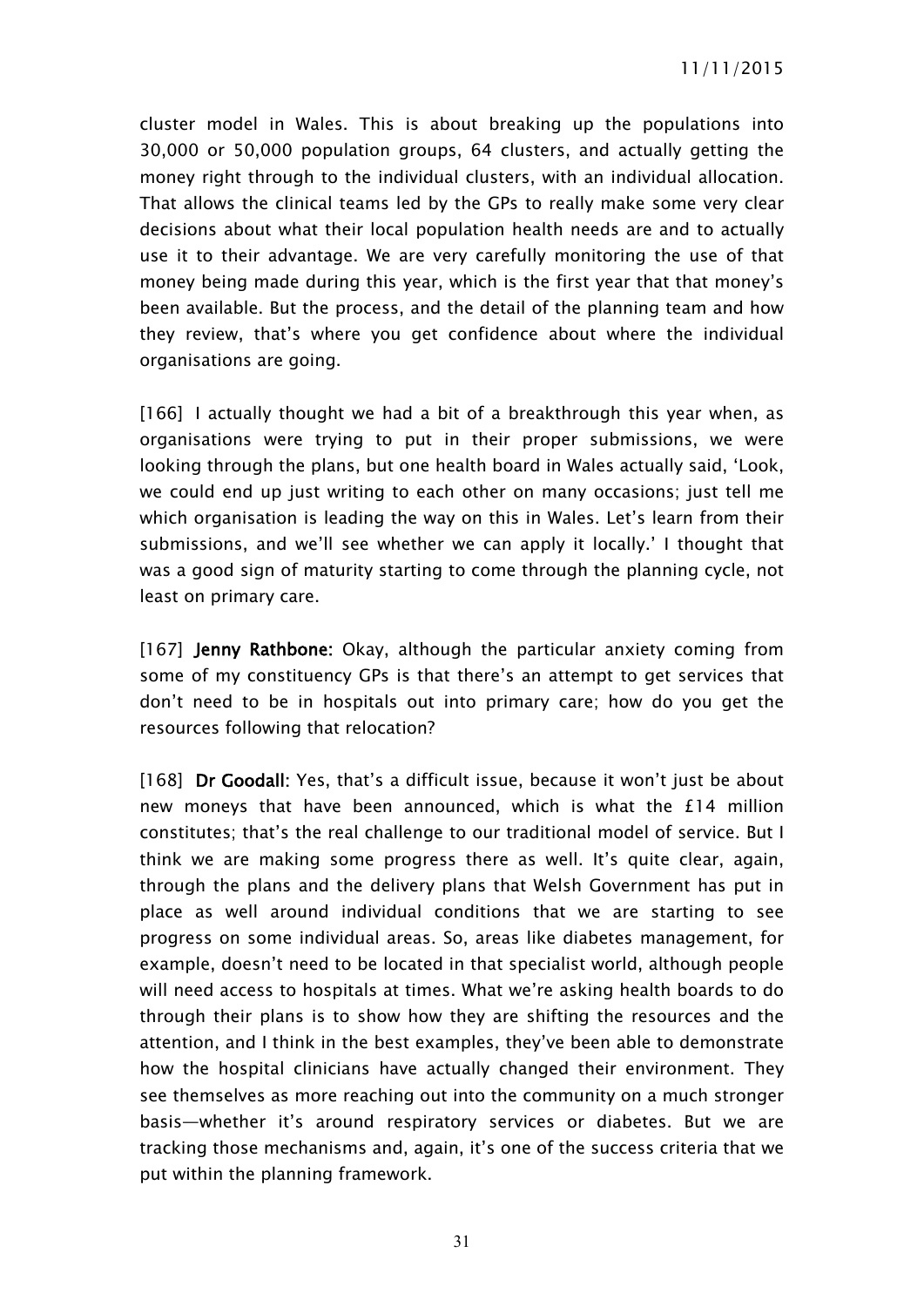cluster model in Wales. This is about breaking up the populations into 30,000 or 50,000 population groups, 64 clusters, and actually getting the money right through to the individual clusters, with an individual allocation. That allows the clinical teams led by the GPs to really make some very clear decisions about what their local population health needs are and to actually use it to their advantage. We are very carefully monitoring the use of that money being made during this year, which is the first year that that money's been available. But the process, and the detail of the planning team and how they review, that's where you get confidence about where the individual organisations are going.

[166] I actually thought we had a bit of a breakthrough this year when, as organisations were trying to put in their proper submissions, we were looking through the plans, but one health board in Wales actually said, 'Look, we could end up just writing to each other on many occasions; just tell me which organisation is leading the way on this in Wales. Let's learn from their submissions, and we'll see whether we can apply it locally.' I thought that was a good sign of maturity starting to come through the planning cycle, not least on primary care.

[167] **Jenny Rathbone:** Okay, although the particular anxiety coming from some of my constituency GPs is that there's an attempt to get services that don't need to be in hospitals out into primary care; how do you get the resources following that relocation?

[168] **Dr Goodall:** Yes, that's a difficult issue, because it won't just be about new moneys that have been announced, which is what the £14 million constitutes; that's the real challenge to our traditional model of service. But I think we are making some progress there as well. It's quite clear, again, through the plans and the delivery plans that Welsh Government has put in place as well around individual conditions that we are starting to see progress on some individual areas. So, areas like diabetes management, for example, doesn't need to be located in that specialist world, although people will need access to hospitals at times. What we're asking health boards to do through their plans is to show how they are shifting the resources and the attention, and I think in the best examples, they've been able to demonstrate how the hospital clinicians have actually changed their environment. They see themselves as more reaching out into the community on a much stronger basis—whether it's around respiratory services or diabetes. But we are tracking those mechanisms and, again, it's one of the success criteria that we put within the planning framework.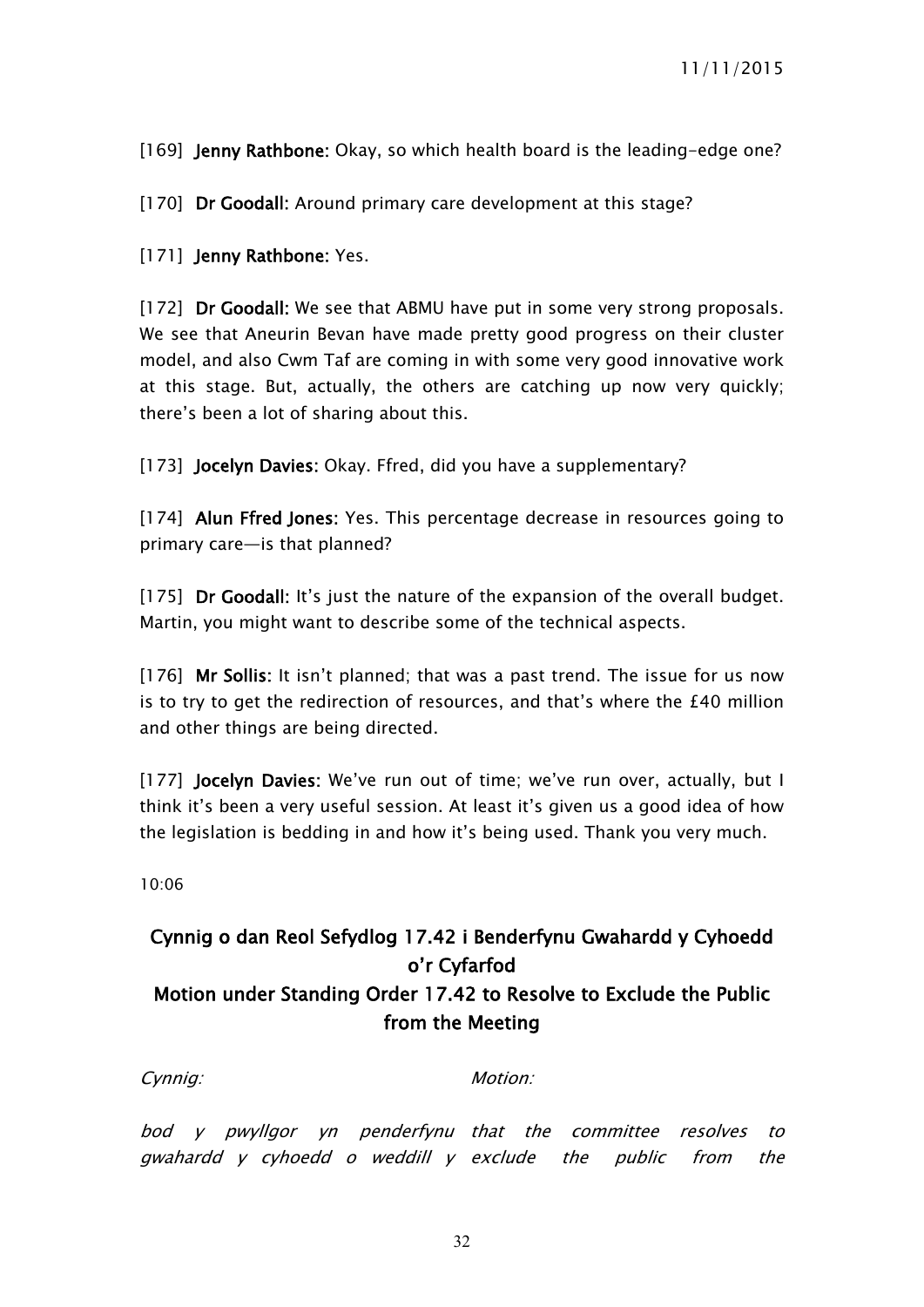[169] **Jenny Rathbone:** Okay, so which health board is the leading-edge one?

[170] **Dr Goodall:** Around primary care development at this stage?

[171] **Jenny Rathbone:** Yes.

[172] **Dr Goodall:** We see that ABMU have put in some very strong proposals. We see that Aneurin Bevan have made pretty good progress on their cluster model, and also Cwm Taf are coming in with some very good innovative work at this stage. But, actually, the others are catching up now very quickly; there's been a lot of sharing about this.

[173] **Jocelyn Davies:** Okay. Ffred, did you have a supplementary?

[174] **Alun Ffred Jones:** Yes. This percentage decrease in resources going to primary care—is that planned?

[175] **Dr Goodall:** It's just the nature of the expansion of the overall budget. Martin, you might want to describe some of the technical aspects.

[176] **Mr Sollis:** It isn't planned; that was a past trend. The issue for us now is to try to get the redirection of resources, and that's where the £40 million and other things are being directed.

[177] **Jocelyn Davies:** We've run out of time; we've run over, actually, but I think it's been a very useful session. At least it's given us a good idea of how the legislation is bedding in and how it's being used. Thank you very much.

10:06

# <span id="page-31-0"></span>**Cynnig o dan Reol Sefydlog 17.42 i Benderfynu Gwahardd y Cyhoedd o'r Cyfarfod Motion under Standing Order 17.42 to Resolve to Exclude the Public from the Meeting**

*Cynnig: Motion:*

*bod y pwyllgor yn penderfynu that the committee resolves to gwahardd y cyhoedd <sup>o</sup> weddill y exclude the public from the*